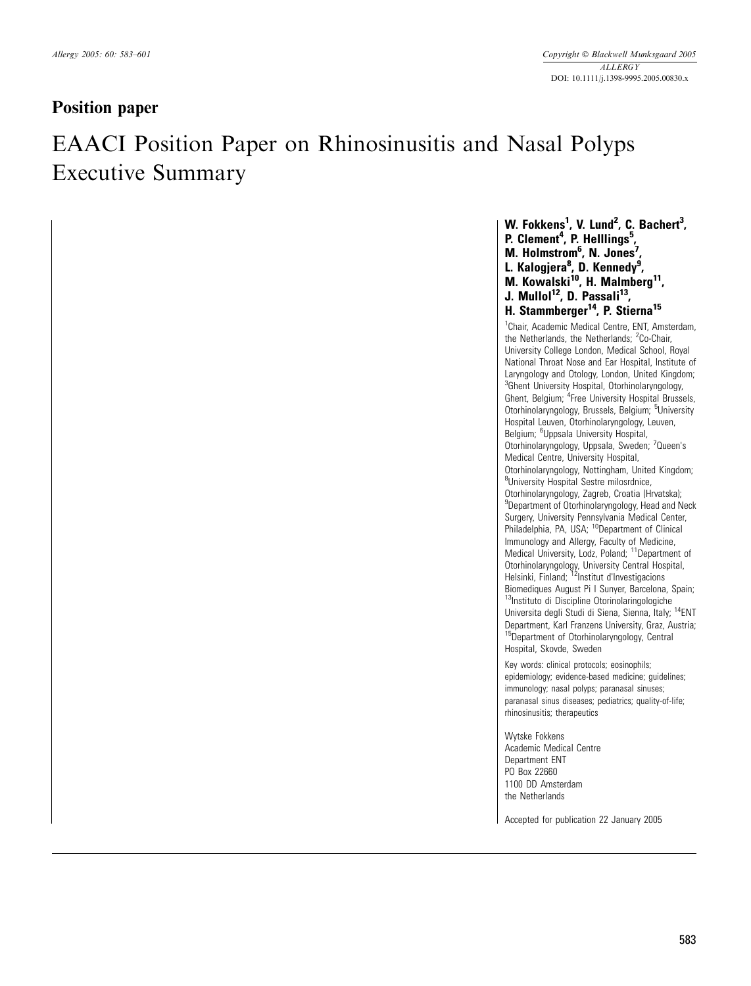## Position paper

# EAACI Position Paper on Rhinosinusitis and Nasal Polyps Executive Summary

## W. Fokkens<sup>1</sup>, V. Lund<sup>2</sup>, C. Bachert<sup>3</sup>, P. Clement<sup>4</sup>, P. Helllings<sup>5</sup>, M. Holmstrom<sup>6</sup>, N. Jones<sup>7</sup>, L. Kalogjera<sup>8</sup>, D. Kennedy<sup>9</sup>, M. Kowalski<sup>10</sup>, H. Malmberg<sup>11</sup>, J. Mullol<sup>12</sup>, D. Passali<sup>13</sup>, H. Stammberger<sup>14</sup>, P. Stierna<sup>15</sup>

<sup>1</sup>Chair, Academic Medical Centre, ENT, Amsterdam, the Netherlands, the Netherlands; <sup>2</sup>Co-Chair, University College London, Medical School, Royal National Throat Nose and Ear Hospital, Institute of Laryngology and Otology, London, United Kingdom; 3 Ghent University Hospital, Otorhinolaryngology, Ghent, Belgium; <sup>4</sup> Free University Hospital Brussels, Otorhinolaryngology, Brussels, Belgium; <sup>5</sup>University Hospital Leuven, Otorhinolaryngology, Leuven, Belgium; <sup>6</sup>Uppsala University Hospital, Otorhinolaryngology, Uppsala, Sweden; 7 Queen's Medical Centre, University Hospital, Otorhinolaryngology, Nottingham, United Kingdom; 8 University Hospital Sestre milosrdnice, Otorhinolaryngology, Zagreb, Croatia (Hrvatska); <sup>9</sup>Department of Otorhinolaryngology, Head and Neck Surgery, University Pennsylvania Medical Center, Philadelphia, PA, USA; <sup>10</sup>Department of Clinical Immunology and Allergy, Faculty of Medicine, Medical University, Lodz, Poland; <sup>11</sup>Department of Otorhinolaryngology, University Central Hospital, Helsinki, Finland; <sup>12</sup>Institut d'Investigacions Biomediques August Pi I Sunyer, Barcelona, Spain; 13Instituto di Discipline Otorinolaringologiche Universita degli Studi di Siena, Sienna, Italy; 14ENT Department, Karl Franzens University, Graz, Austria; 15Department of Otorhinolaryngology, Central Hospital, Skovde, Sweden

Key words: clinical protocols; eosinophils; epidemiology; evidence-based medicine; guidelines; immunology; nasal polyps; paranasal sinuses; paranasal sinus diseases; pediatrics; quality-of-life; rhinosinusitis; therapeutics

Wytske Fokkens Academic Medical Centre Department ENT PO Box 22660 1100 DD Amsterdam the Netherlands

Accepted for publication 22 January 2005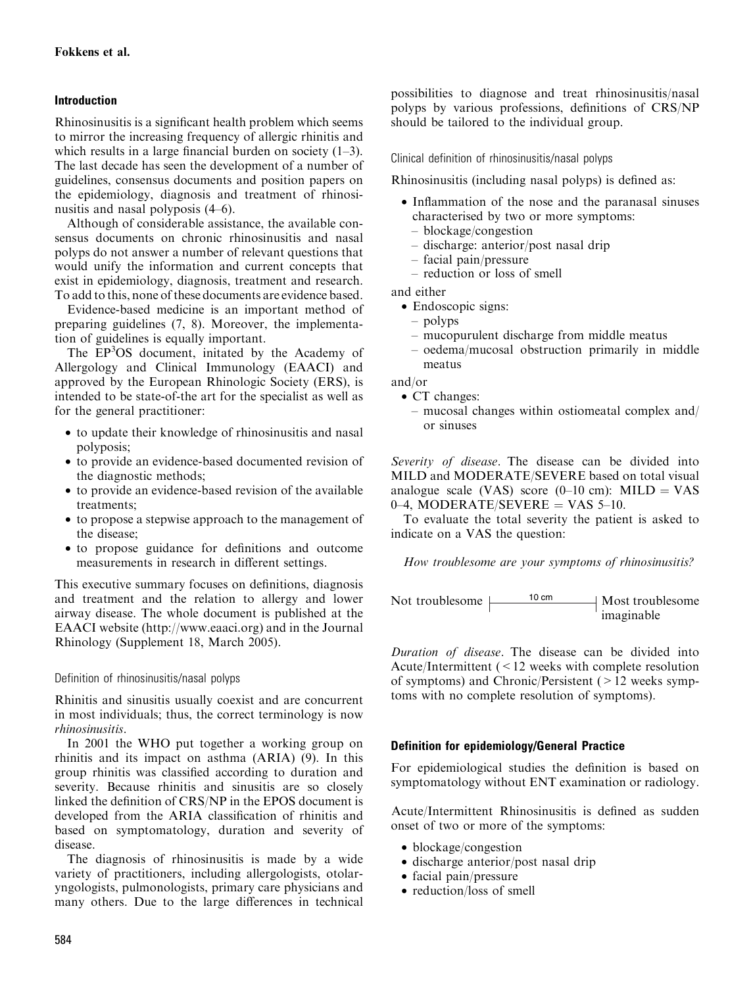## Introduction

Rhinosinusitis is a significant health problem which seems to mirror the increasing frequency of allergic rhinitis and which results in a large financial burden on society  $(1-3)$ . The last decade has seen the development of a number of guidelines, consensus documents and position papers on the epidemiology, diagnosis and treatment of rhinosinusitis and nasal polyposis (4–6).

Although of considerable assistance, the available consensus documents on chronic rhinosinusitis and nasal polyps do not answer a number of relevant questions that would unify the information and current concepts that exist in epidemiology, diagnosis, treatment and research. To add to this, none of these documents are evidence based.

Evidence-based medicine is an important method of preparing guidelines (7, 8). Moreover, the implementation of guidelines is equally important.

The EP<sup>3</sup>OS document, initated by the Academy of Allergology and Clinical Immunology (EAACI) and approved by the European Rhinologic Society (ERS), is intended to be state-of-the art for the specialist as well as for the general practitioner:

- to update their knowledge of rhinosinusitis and nasal polyposis;
- to provide an evidence-based documented revision of the diagnostic methods;
- to provide an evidence-based revision of the available treatments;
- to propose a stepwise approach to the management of the disease;
- to propose guidance for definitions and outcome measurements in research in different settings.

This executive summary focuses on definitions, diagnosis and treatment and the relation to allergy and lower airway disease. The whole document is published at the EAACI website (http://www.eaaci.org) and in the Journal Rhinology (Supplement 18, March 2005).

### Definition of rhinosinusitis/nasal polyps

Rhinitis and sinusitis usually coexist and are concurrent in most individuals; thus, the correct terminology is now rhinosinusitis.

In 2001 the WHO put together a working group on rhinitis and its impact on asthma (ARIA) (9). In this group rhinitis was classified according to duration and severity. Because rhinitis and sinusitis are so closely linked the definition of CRS/NP in the EPOS document is developed from the ARIA classification of rhinitis and based on symptomatology, duration and severity of disease.

The diagnosis of rhinosinusitis is made by a wide variety of practitioners, including allergologists, otolaryngologists, pulmonologists, primary care physicians and many others. Due to the large differences in technical possibilities to diagnose and treat rhinosinusitis/nasal polyps by various professions, definitions of CRS/NP should be tailored to the individual group.

Clinical definition of rhinosinusitis/nasal polyps

Rhinosinusitis (including nasal polyps) is defined as:

- Inflammation of the nose and the paranasal sinuses characterised by two or more symptoms:
	- blockage/congestion
	- discharge: anterior/post nasal drip
	- facial pain/pressure
	- reduction or loss of smell

and either

- Endoscopic signs:
	- polyps
	- mucopurulent discharge from middle meatus
	- oedema/mucosal obstruction primarily in middle meatus

and/or

- CT changes:
	- mucosal changes within ostiomeatal complex and/ or sinuses

Severity of disease. The disease can be divided into MILD and MODERATE/SEVERE based on total visual analogue scale (VAS) score (0–10 cm): MILD = VAS  $0-4$ , MODERATE/SEVERE = VAS 5-10.

To evaluate the total severity the patient is asked to indicate on a VAS the question:

How troublesome are your symptoms of rhinosinusitis?



Duration of disease. The disease can be divided into Acute/Intermittent (<12 weeks with complete resolution of symptoms) and Chronic/Persistent  $(>12$  weeks symptoms with no complete resolution of symptoms).

## Definition for epidemiology/General Practice

For epidemiological studies the definition is based on symptomatology without ENT examination or radiology.

Acute/Intermittent Rhinosinusitis is defined as sudden onset of two or more of the symptoms:

- blockage/congestion
- discharge anterior/post nasal drip
- facial pain/pressure
- reduction/loss of smell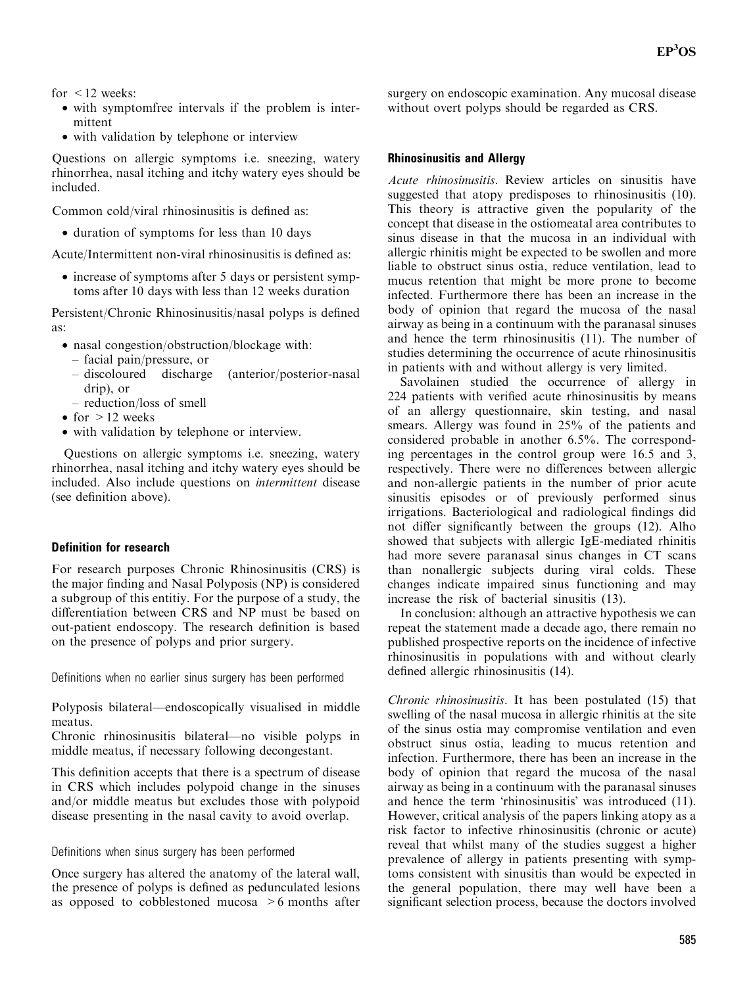for  $\leq 12$  weeks:

- with symptomfree intervals if the problem is intermittent
- with validation by telephone or interview

Questions on allergic symptoms i.e. sneezing, watery rhinorrhea, nasal itching and itchy watery eyes should be included.

Common cold/viral rhinosinusitis is defined as:

• duration of symptoms for less than 10 days

Acute/Intermittent non-viral rhinosinusitis is defined as:

• increase of symptoms after 5 days or persistent symptoms after 10 days with less than 12 weeks duration

Persistent/Chronic Rhinosinusitis/nasal polyps is defined as:

- nasal congestion/obstruction/blockage with:
	- facial pain/pressure, or
	- discoloured discharge (anterior/posterior-nasal drip), or
	- reduction/loss of smell
- for  $>12$  weeks
- with validation by telephone or interview.

Questions on allergic symptoms i.e. sneezing, watery rhinorrhea, nasal itching and itchy watery eyes should be included. Also include questions on intermittent disease (see definition above).

#### Definition for research

For research purposes Chronic Rhinosinusitis (CRS) is the major finding and Nasal Polyposis (NP) is considered a subgroup of this entitiy. For the purpose of a study, the differentiation between CRS and NP must be based on out-patient endoscopy. The research definition is based on the presence of polyps and prior surgery.

Definitions when no earlier sinus surgery has been performed

Polyposis bilateral—endoscopically visualised in middle meatus.

Chronic rhinosinusitis bilateral—no visible polyps in middle meatus, if necessary following decongestant.

This definition accepts that there is a spectrum of disease in CRS which includes polypoid change in the sinuses and/or middle meatus but excludes those with polypoid disease presenting in the nasal cavity to avoid overlap.

Definitions when sinus surgery has been performed

Once surgery has altered the anatomy of the lateral wall, the presence of polyps is defined as pedunculated lesions as opposed to cobblestoned mucosa >6 months after surgery on endoscopic examination. Any mucosal disease without overt polyps should be regarded as CRS.

#### Rhinosinusitis and Allergy

Acute rhinosinusitis. Review articles on sinusitis have suggested that atopy predisposes to rhinosinusitis (10). This theory is attractive given the popularity of the concept that disease in the ostiomeatal area contributes to sinus disease in that the mucosa in an individual with allergic rhinitis might be expected to be swollen and more liable to obstruct sinus ostia, reduce ventilation, lead to mucus retention that might be more prone to become infected. Furthermore there has been an increase in the body of opinion that regard the mucosa of the nasal airway as being in a continuum with the paranasal sinuses and hence the term rhinosinusitis (11). The number of studies determining the occurrence of acute rhinosinusitis in patients with and without allergy is very limited.

Savolainen studied the occurrence of allergy in 224 patients with verified acute rhinosinusitis by means of an allergy questionnaire, skin testing, and nasal smears. Allergy was found in 25% of the patients and considered probable in another 6.5%. The corresponding percentages in the control group were 16.5 and 3, respectively. There were no differences between allergic and non-allergic patients in the number of prior acute sinusitis episodes or of previously performed sinus irrigations. Bacteriological and radiological findings did not differ significantly between the groups (12). Alho showed that subjects with allergic IgE-mediated rhinitis had more severe paranasal sinus changes in CT scans than nonallergic subjects during viral colds. These changes indicate impaired sinus functioning and may increase the risk of bacterial sinusitis (13).

In conclusion: although an attractive hypothesis we can repeat the statement made a decade ago, there remain no published prospective reports on the incidence of infective rhinosinusitis in populations with and without clearly defined allergic rhinosinusitis (14).

Chronic rhinosinusitis. It has been postulated (15) that swelling of the nasal mucosa in allergic rhinitis at the site of the sinus ostia may compromise ventilation and even obstruct sinus ostia, leading to mucus retention and infection. Furthermore, there has been an increase in the body of opinion that regard the mucosa of the nasal airway as being in a continuum with the paranasal sinuses and hence the term 'rhinosinusitis' was introduced (11). However, critical analysis of the papers linking atopy as a risk factor to infective rhinosinusitis (chronic or acute) reveal that whilst many of the studies suggest a higher prevalence of allergy in patients presenting with symptoms consistent with sinusitis than would be expected in the general population, there may well have been a significant selection process, because the doctors involved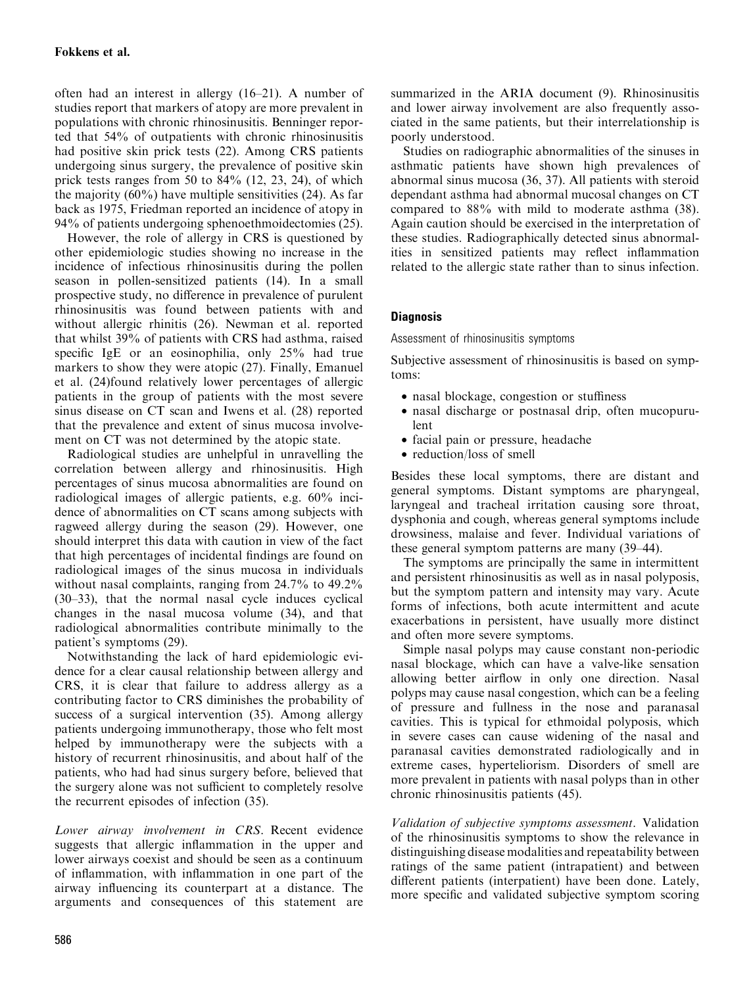often had an interest in allergy (16–21). A number of studies report that markers of atopy are more prevalent in populations with chronic rhinosinusitis. Benninger reported that 54% of outpatients with chronic rhinosinusitis had positive skin prick tests (22). Among CRS patients undergoing sinus surgery, the prevalence of positive skin prick tests ranges from 50 to 84% (12, 23, 24), of which the majority  $(60\%)$  have multiple sensitivities  $(24)$ . As far back as 1975, Friedman reported an incidence of atopy in 94% of patients undergoing sphenoethmoidectomies (25).

However, the role of allergy in CRS is questioned by other epidemiologic studies showing no increase in the incidence of infectious rhinosinusitis during the pollen season in pollen-sensitized patients (14). In a small prospective study, no difference in prevalence of purulent rhinosinusitis was found between patients with and without allergic rhinitis (26). Newman et al. reported that whilst 39% of patients with CRS had asthma, raised specific IgE or an eosinophilia, only 25% had true markers to show they were atopic (27). Finally, Emanuel et al. (24)found relatively lower percentages of allergic patients in the group of patients with the most severe sinus disease on CT scan and Iwens et al. (28) reported that the prevalence and extent of sinus mucosa involvement on CT was not determined by the atopic state.

Radiological studies are unhelpful in unravelling the correlation between allergy and rhinosinusitis. High percentages of sinus mucosa abnormalities are found on radiological images of allergic patients, e.g. 60% incidence of abnormalities on CT scans among subjects with ragweed allergy during the season (29). However, one should interpret this data with caution in view of the fact that high percentages of incidental findings are found on radiological images of the sinus mucosa in individuals without nasal complaints, ranging from 24.7% to 49.2% (30–33), that the normal nasal cycle induces cyclical changes in the nasal mucosa volume (34), and that radiological abnormalities contribute minimally to the patient's symptoms (29).

Notwithstanding the lack of hard epidemiologic evidence for a clear causal relationship between allergy and CRS, it is clear that failure to address allergy as a contributing factor to CRS diminishes the probability of success of a surgical intervention (35). Among allergy patients undergoing immunotherapy, those who felt most helped by immunotherapy were the subjects with a history of recurrent rhinosinusitis, and about half of the patients, who had had sinus surgery before, believed that the surgery alone was not sufficient to completely resolve the recurrent episodes of infection (35).

Lower airway involvement in CRS. Recent evidence suggests that allergic inflammation in the upper and lower airways coexist and should be seen as a continuum of inflammation, with inflammation in one part of the airway influencing its counterpart at a distance. The arguments and consequences of this statement are summarized in the ARIA document (9). Rhinosinusitis and lower airway involvement are also frequently associated in the same patients, but their interrelationship is poorly understood.

Studies on radiographic abnormalities of the sinuses in asthmatic patients have shown high prevalences of abnormal sinus mucosa (36, 37). All patients with steroid dependant asthma had abnormal mucosal changes on CT compared to 88% with mild to moderate asthma (38). Again caution should be exercised in the interpretation of these studies. Radiographically detected sinus abnormalities in sensitized patients may reflect inflammation related to the allergic state rather than to sinus infection.

## **Diagnosis**

Assessment of rhinosinusitis symptoms

Subjective assessment of rhinosinusitis is based on symptoms:

- nasal blockage, congestion or stuffiness
- nasal discharge or postnasal drip, often mucopurulent
- facial pain or pressure, headache
- reduction/loss of smell

Besides these local symptoms, there are distant and general symptoms. Distant symptoms are pharyngeal, laryngeal and tracheal irritation causing sore throat, dysphonia and cough, whereas general symptoms include drowsiness, malaise and fever. Individual variations of these general symptom patterns are many (39–44).

The symptoms are principally the same in intermittent and persistent rhinosinusitis as well as in nasal polyposis, but the symptom pattern and intensity may vary. Acute forms of infections, both acute intermittent and acute exacerbations in persistent, have usually more distinct and often more severe symptoms.

Simple nasal polyps may cause constant non-periodic nasal blockage, which can have a valve-like sensation allowing better airflow in only one direction. Nasal polyps may cause nasal congestion, which can be a feeling of pressure and fullness in the nose and paranasal cavities. This is typical for ethmoidal polyposis, which in severe cases can cause widening of the nasal and paranasal cavities demonstrated radiologically and in extreme cases, hyperteliorism. Disorders of smell are more prevalent in patients with nasal polyps than in other chronic rhinosinusitis patients (45).

Validation of subjective symptoms assessment. Validation of the rhinosinusitis symptoms to show the relevance in distinguishing disease modalities and repeatability between ratings of the same patient (intrapatient) and between different patients (interpatient) have been done. Lately, more specific and validated subjective symptom scoring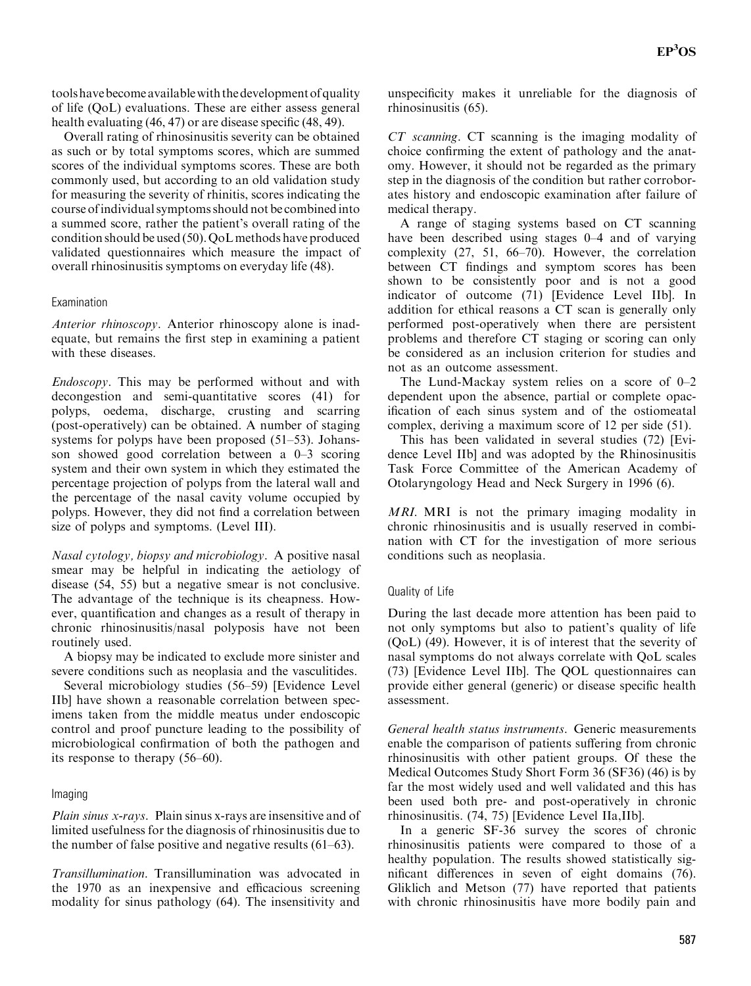toolshavebecome availablewith the development of quality of life (QoL) evaluations. These are either assess general health evaluating (46, 47) or are disease specific (48, 49).

Overall rating of rhinosinusitis severity can be obtained as such or by total symptoms scores, which are summed scores of the individual symptoms scores. These are both commonly used, but according to an old validation study for measuring the severity of rhinitis, scores indicating the course ofindividual symptoms should not be combined into a summed score, rather the patient's overall rating of the condition should be used (50). QoL methods have produced validated questionnaires which measure the impact of overall rhinosinusitis symptoms on everyday life (48).

#### Examination

Anterior rhinoscopy. Anterior rhinoscopy alone is inadequate, but remains the first step in examining a patient with these diseases.

Endoscopy. This may be performed without and with decongestion and semi-quantitative scores (41) for polyps, oedema, discharge, crusting and scarring (post-operatively) can be obtained. A number of staging systems for polyps have been proposed (51–53). Johansson showed good correlation between a 0–3 scoring system and their own system in which they estimated the percentage projection of polyps from the lateral wall and the percentage of the nasal cavity volume occupied by polyps. However, they did not find a correlation between size of polyps and symptoms. (Level III).

Nasal cytology, biopsy and microbiology. A positive nasal smear may be helpful in indicating the aetiology of disease (54, 55) but a negative smear is not conclusive. The advantage of the technique is its cheapness. However, quantification and changes as a result of therapy in chronic rhinosinusitis/nasal polyposis have not been routinely used.

A biopsy may be indicated to exclude more sinister and severe conditions such as neoplasia and the vasculitides.

Several microbiology studies (56–59) [Evidence Level IIb] have shown a reasonable correlation between specimens taken from the middle meatus under endoscopic control and proof puncture leading to the possibility of microbiological confirmation of both the pathogen and its response to therapy (56–60).

#### Imaging

Plain sinus x-rays. Plain sinus x-rays are insensitive and of limited usefulness for the diagnosis of rhinosinusitis due to the number of false positive and negative results (61–63).

Transillumination. Transillumination was advocated in the 1970 as an inexpensive and efficacious screening modality for sinus pathology (64). The insensitivity and unspecificity makes it unreliable for the diagnosis of rhinosinusitis (65).

CT scanning. CT scanning is the imaging modality of choice confirming the extent of pathology and the anatomy. However, it should not be regarded as the primary step in the diagnosis of the condition but rather corroborates history and endoscopic examination after failure of medical therapy.

A range of staging systems based on CT scanning have been described using stages 0–4 and of varying complexity (27, 51, 66–70). However, the correlation between CT findings and symptom scores has been shown to be consistently poor and is not a good indicator of outcome (71) [Evidence Level IIb]. In addition for ethical reasons a CT scan is generally only performed post-operatively when there are persistent problems and therefore CT staging or scoring can only be considered as an inclusion criterion for studies and not as an outcome assessment.

The Lund-Mackay system relies on a score of 0–2 dependent upon the absence, partial or complete opacification of each sinus system and of the ostiomeatal complex, deriving a maximum score of 12 per side (51).

This has been validated in several studies (72) [Evidence Level IIb] and was adopted by the Rhinosinusitis Task Force Committee of the American Academy of Otolaryngology Head and Neck Surgery in 1996 (6).

MRI. MRI is not the primary imaging modality in chronic rhinosinusitis and is usually reserved in combination with CT for the investigation of more serious conditions such as neoplasia.

#### Quality of Life

During the last decade more attention has been paid to not only symptoms but also to patient's quality of life (QoL) (49). However, it is of interest that the severity of nasal symptoms do not always correlate with QoL scales (73) [Evidence Level IIb]. The QOL questionnaires can provide either general (generic) or disease specific health assessment.

General health status instruments. Generic measurements enable the comparison of patients suffering from chronic rhinosinusitis with other patient groups. Of these the Medical Outcomes Study Short Form 36 (SF36) (46) is by far the most widely used and well validated and this has been used both pre- and post-operatively in chronic rhinosinusitis. (74, 75) [Evidence Level IIa,IIb].

In a generic SF-36 survey the scores of chronic rhinosinusitis patients were compared to those of a healthy population. The results showed statistically significant differences in seven of eight domains (76). Gliklich and Metson (77) have reported that patients with chronic rhinosinusitis have more bodily pain and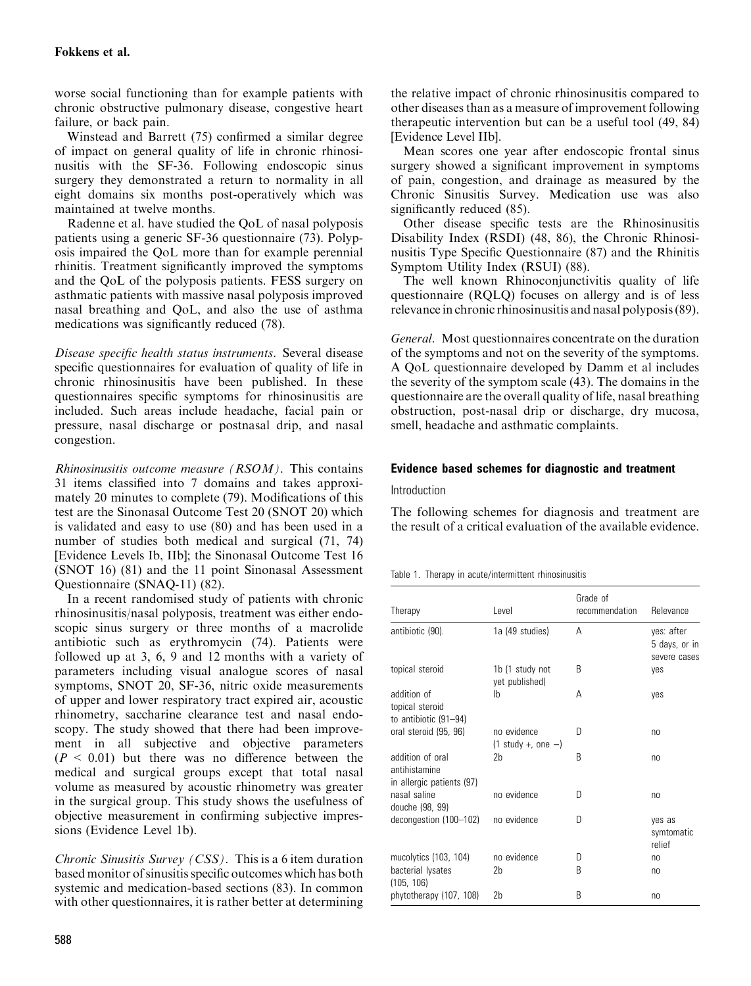worse social functioning than for example patients with chronic obstructive pulmonary disease, congestive heart failure, or back pain.

Winstead and Barrett (75) confirmed a similar degree of impact on general quality of life in chronic rhinosinusitis with the SF-36. Following endoscopic sinus surgery they demonstrated a return to normality in all eight domains six months post-operatively which was maintained at twelve months.

Radenne et al. have studied the QoL of nasal polyposis patients using a generic SF-36 questionnaire (73). Polyposis impaired the QoL more than for example perennial rhinitis. Treatment significantly improved the symptoms and the QoL of the polyposis patients. FESS surgery on asthmatic patients with massive nasal polyposis improved nasal breathing and QoL, and also the use of asthma medications was significantly reduced (78).

Disease specific health status instruments. Several disease specific questionnaires for evaluation of quality of life in chronic rhinosinusitis have been published. In these questionnaires specific symptoms for rhinosinusitis are included. Such areas include headache, facial pain or pressure, nasal discharge or postnasal drip, and nasal congestion.

Rhinosinusitis outcome measure (RSOM). This contains 31 items classified into 7 domains and takes approximately 20 minutes to complete (79). Modifications of this test are the Sinonasal Outcome Test 20 (SNOT 20) which is validated and easy to use (80) and has been used in a number of studies both medical and surgical (71, 74) [Evidence Levels Ib, IIb]; the Sinonasal Outcome Test 16 (SNOT 16) (81) and the 11 point Sinonasal Assessment Questionnaire (SNAQ-11) (82).

In a recent randomised study of patients with chronic rhinosinusitis/nasal polyposis, treatment was either endoscopic sinus surgery or three months of a macrolide antibiotic such as erythromycin (74). Patients were followed up at 3, 6, 9 and 12 months with a variety of parameters including visual analogue scores of nasal symptoms, SNOT 20, SF-36, nitric oxide measurements of upper and lower respiratory tract expired air, acoustic rhinometry, saccharine clearance test and nasal endoscopy. The study showed that there had been improvement in all subjective and objective parameters  $(P < 0.01)$  but there was no difference between the medical and surgical groups except that total nasal volume as measured by acoustic rhinometry was greater in the surgical group. This study shows the usefulness of objective measurement in confirming subjective impressions (Evidence Level 1b).

Chronic Sinusitis Survey (CSS). This is a 6 item duration based monitor of sinusitis specific outcomes which has both systemic and medication-based sections (83). In common with other questionnaires, it is rather better at determining the relative impact of chronic rhinosinusitis compared to other diseases than as a measure of improvement following therapeutic intervention but can be a useful tool (49, 84) [Evidence Level IIb].

Mean scores one year after endoscopic frontal sinus surgery showed a significant improvement in symptoms of pain, congestion, and drainage as measured by the Chronic Sinusitis Survey. Medication use was also significantly reduced (85).

Other disease specific tests are the Rhinosinusitis Disability Index (RSDI) (48, 86), the Chronic Rhinosinusitis Type Specific Questionnaire (87) and the Rhinitis Symptom Utility Index (RSUI) (88).

The well known Rhinoconjunctivitis quality of life questionnaire (RQLQ) focuses on allergy and is of less relevance in chronic rhinosinusitis and nasal polyposis (89).

General. Most questionnaires concentrate on the duration of the symptoms and not on the severity of the symptoms. A QoL questionnaire developed by Damm et al includes the severity of the symptom scale (43). The domains in the questionnaire are the overall quality of life, nasal breathing obstruction, post-nasal drip or discharge, dry mucosa, smell, headache and asthmatic complaints.

### Evidence based schemes for diagnostic and treatment

#### Introduction

The following schemes for diagnosis and treatment are the result of a critical evaluation of the available evidence.

#### Table 1. Therapy in acute/intermittent rhinosinusitis

| Therapy                                                        | Level                                                | Grade of<br>recommendation | Relevance                                   |
|----------------------------------------------------------------|------------------------------------------------------|----------------------------|---------------------------------------------|
| antibiotic (90).                                               | 1a (49 studies)                                      | Α                          | yes: after<br>5 days, or in<br>severe cases |
| topical steroid                                                | 1b (1 study not<br>yet published)                    | B                          | yes                                         |
| addition of<br>topical steroid<br>to antibiotic (91-94)        | lb                                                   | Α                          | yes                                         |
| oral steroid (95, 96)                                          | no evidence<br>$(1 \text{ study} +, \text{ one } -)$ | D                          | no                                          |
| addition of oral<br>antihistamine<br>in allergic patients (97) | 2h                                                   | R                          | no                                          |
| nasal saline<br>douche (98, 99)                                | no evidence                                          | D                          | no                                          |
| decongestion (100-102)                                         | no evidence                                          | D                          | yes as<br>symtomatic<br>relief              |
| mucolytics (103, 104)                                          | no evidence                                          | D                          | no                                          |
| bacterial lysates<br>(105, 106)                                | 2h                                                   | R                          | no                                          |
| phytotherapy (107, 108)                                        | 2h                                                   | B                          | no                                          |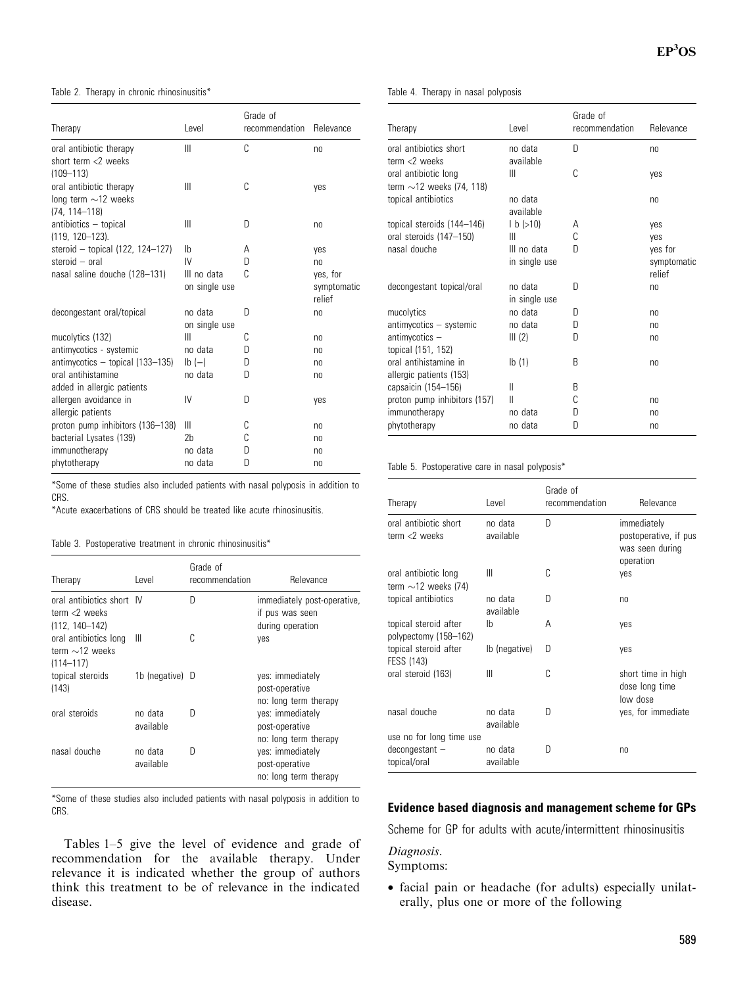Table 2. Therapy in chronic rhinosinusitis\*

|                                                                           |                              | Grade of       |                                   |
|---------------------------------------------------------------------------|------------------------------|----------------|-----------------------------------|
| Therapy                                                                   | Level                        | recommendation | Relevance                         |
| oral antibiotic therapy<br>short term <2 weeks<br>$(109 - 113)$           | $\mathbf{III}$               | C              | no                                |
| oral antibiotic therapy<br>long term $\sim$ 12 weeks<br>$(74, 114 - 118)$ | Ш                            | C              | yes                               |
| antibiotics - topical<br>$(119, 120 - 123)$ .                             | Ш                            | D              | no                                |
| steroid $-$ topical (122, 124-127)                                        | lb                           | A              | yes                               |
| steroid $-$ oral                                                          | IV                           | D              | no                                |
| nasal saline douche (128-131)                                             | III no data<br>on single use | C              | yes, for<br>symptomatic<br>relief |
| decongestant oral/topical                                                 | no data<br>on single use     | D              | no                                |
| mucolytics (132)                                                          | Ш                            | C              | no                                |
| antimycotics - systemic                                                   | no data                      | D              | no                                |
| antimycotics $-$ topical (133–135)                                        | $\mathsf{lb}(-)$             | D              | no                                |
| oral antihistamine<br>added in allergic patients                          | no data                      | D              | n <sub>0</sub>                    |
| allergen avoidance in<br>allergic patients                                | IV                           | D              | yes                               |
| proton pump inhibitors (136-138)                                          | Ш                            | С              | no                                |
| bacterial Lysates (139)                                                   | 2h                           | C              | no                                |
| immunotherapy                                                             | no data                      | D              | no                                |
| phytotherapy                                                              | no data                      | D              | no                                |

\*Some of these studies also included patients with nasal polyposis in addition to CRS.

\*Acute exacerbations of CRS should be treated like acute rhinosinusitis.

Table 3. Postoperative treatment in chronic rhinosinusitis\*

| Therapy                                                             | Level                | Grade of<br>recommendation | Relevance                                                          |
|---------------------------------------------------------------------|----------------------|----------------------------|--------------------------------------------------------------------|
| oral antibiotics short IV<br>term $<$ 2 weeks<br>$(112, 140 - 142)$ |                      | D                          | immediately post-operative,<br>if pus was seen<br>during operation |
| oral antibiotics long<br>term $\sim$ 12 weeks<br>$(114 - 117)$      | Ш                    | C                          | yes                                                                |
| topical steroids<br>(143)                                           | 1b (negative) D      |                            | yes: immediately<br>post-operative<br>no: long term therapy        |
| oral steroids                                                       | no data<br>available | D                          | yes: immediately<br>post-operative<br>no: long term therapy        |
| nasal douche                                                        | no data<br>available | D                          | yes: immediately<br>post-operative<br>no: long term therapy        |

\*Some of these studies also included patients with nasal polyposis in addition to CRS.

Tables 1–5 give the level of evidence and grade of recommendation for the available therapy. Under relevance it is indicated whether the group of authors think this treatment to be of relevance in the indicated disease.

|  |  | Table 4. Therapy in nasal polyposis |  |
|--|--|-------------------------------------|--|

|                                                        |                              | Grade of       |                                  |
|--------------------------------------------------------|------------------------------|----------------|----------------------------------|
| Therapy                                                | Level                        | recommendation | Relevance                        |
| oral antibiotics short<br>term $<$ 2 weeks             | no data<br>available         | D              | no                               |
| oral antibiotic long<br>term $\sim$ 12 weeks (74, 118) | Ш                            | C              | yes                              |
| topical antibiotics                                    | no data<br>available         |                | no                               |
| topical steroids (144-146)                             | 1 b (>10)                    | A              | yes                              |
| oral steroids (147-150)                                | Ш                            | C              | yes                              |
| nasal douche                                           | III no data<br>in single use | D              | yes for<br>symptomatic<br>relief |
| decongestant topical/oral                              | no data<br>in single use     | D              | n <sub>0</sub>                   |
| mucolytics                                             | no data                      | D              | no                               |
| antimycotics - systemic                                | no data                      | D              | no                               |
| $antimycotics -$<br>topical (151, 152)                 | III(2)                       | D              | no                               |
| oral antihistamine in<br>allergic patients (153)       | lb(1)                        | B              | no                               |
| capsaicin (154-156)                                    | Ш                            | B              |                                  |
| proton pump inhibitors (157)                           | Ш                            | C              | no                               |
| immunotherapy                                          | no data                      | D              | no                               |
| phytotherapy                                           | no data                      | D              | no                               |

Table 5. Postoperative care in nasal polyposis\*

| Therapy                                           | Level                | Grade of<br>recommendation | Relevance                                                            |
|---------------------------------------------------|----------------------|----------------------------|----------------------------------------------------------------------|
| oral antibiotic short<br>term $<$ 2 weeks         | no data<br>available | D                          | immediately<br>postoperative, if pus<br>was seen during<br>operation |
| oral antibiotic long<br>term $\sim$ 12 weeks (74) | Ш                    | C                          | yes                                                                  |
| topical antibiotics                               | no data<br>available | n                          | no                                                                   |
| topical steroid after<br>polypectomy (158-162)    | lb                   | A                          | yes                                                                  |
| topical steroid after<br>FESS (143)               | Ib (negative)        | D                          | yes                                                                  |
| oral steroid (163)                                | Ш                    | C                          | short time in high<br>dose long time<br>low dose                     |
| nasal douche                                      | no data<br>available | D                          | yes, for immediate                                                   |
| use no for long time use                          |                      |                            |                                                                      |
| decongestant -<br>topical/oral                    | no data<br>available | D                          | no                                                                   |

#### Evidence based diagnosis and management scheme for GPs

Scheme for GP for adults with acute/intermittent rhinosinusitis

Diagnosis. Symptoms:

• facial pain or headache (for adults) especially unilaterally, plus one or more of the following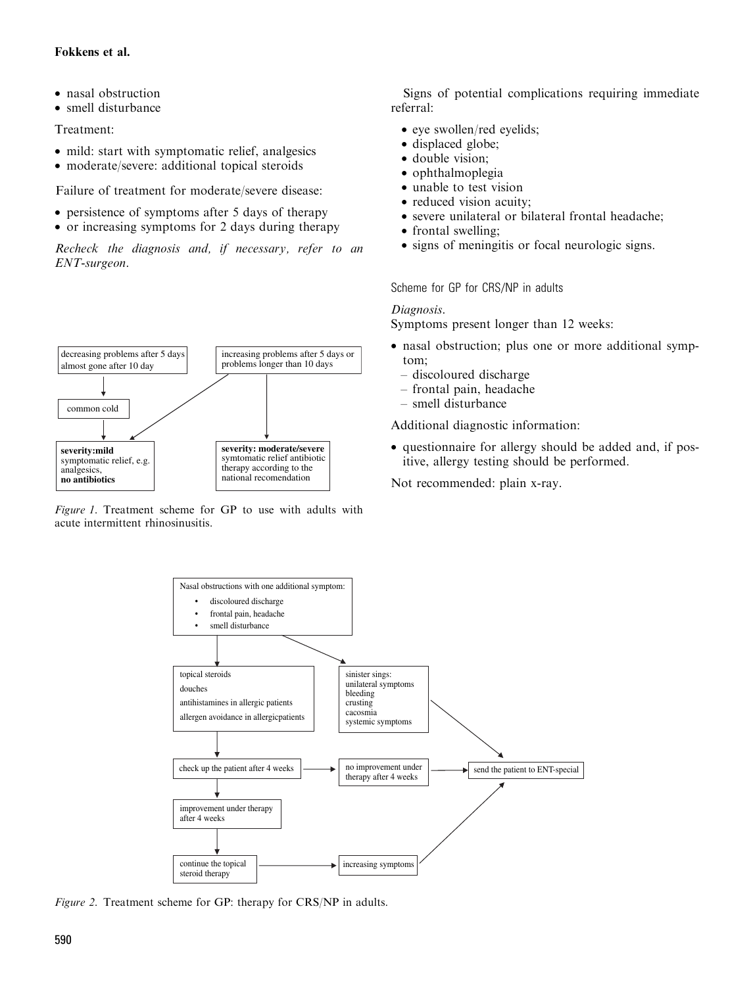#### Fokkens et al.

- nasal obstruction
- smell disturbance

#### Treatment:

- mild: start with symptomatic relief, analgesics
- moderate/severe: additional topical steroids

Failure of treatment for moderate/severe disease:

- persistence of symptoms after 5 days of therapy
- or increasing symptoms for 2 days during therapy

Recheck the diagnosis and, if necessary, refer to an ENT-surgeon.



Figure 1. Treatment scheme for GP to use with adults with acute intermittent rhinosinusitis.

Signs of potential complications requiring immediate referral:

- eye swollen/red eyelids;
- displaced globe;
- double vision:
- ophthalmoplegia
- unable to test vision
- reduced vision acuity;
- severe unilateral or bilateral frontal headache;
- frontal swelling;
- signs of meningitis or focal neurologic signs.

Scheme for GP for CRS/NP in adults

#### Diagnosis.

Symptoms present longer than 12 weeks:

- nasal obstruction; plus one or more additional symptom;
	- discoloured discharge
	- frontal pain, headache
	- smell disturbance

Additional diagnostic information:

• questionnaire for allergy should be added and, if positive, allergy testing should be performed.

Not recommended: plain x-ray.



Figure 2. Treatment scheme for GP: therapy for CRS/NP in adults.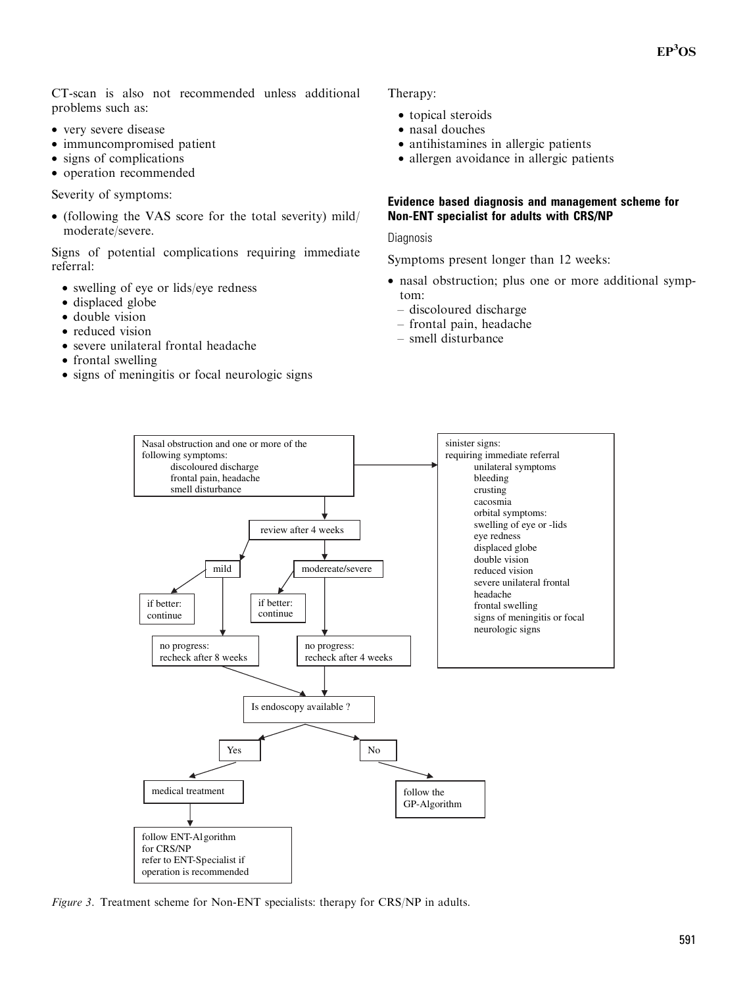CT-scan is also not recommended unless additional problems such as:

- very severe disease
- immuncompromised patient
- signs of complications
- operation recommended

Severity of symptoms:

• (following the VAS score for the total severity) mild/ moderate/severe.

Signs of potential complications requiring immediate referral:

- swelling of eye or lids/eye redness
- displaced globe
- double vision
- reduced vision
- severe unilateral frontal headache
- frontal swelling
- signs of meningitis or focal neurologic signs

#### Therapy:

- topical steroids
- nasal douches
- antihistamines in allergic patients
- allergen avoidance in allergic patients

#### Evidence based diagnosis and management scheme for Non-ENT specialist for adults with CRS/NP

Diagnosis

Symptoms present longer than 12 weeks:

- nasal obstruction; plus one or more additional symptom:
	- discoloured discharge
	- frontal pain, headache
	- smell disturbance



Figure 3. Treatment scheme for Non-ENT specialists: therapy for CRS/NP in adults.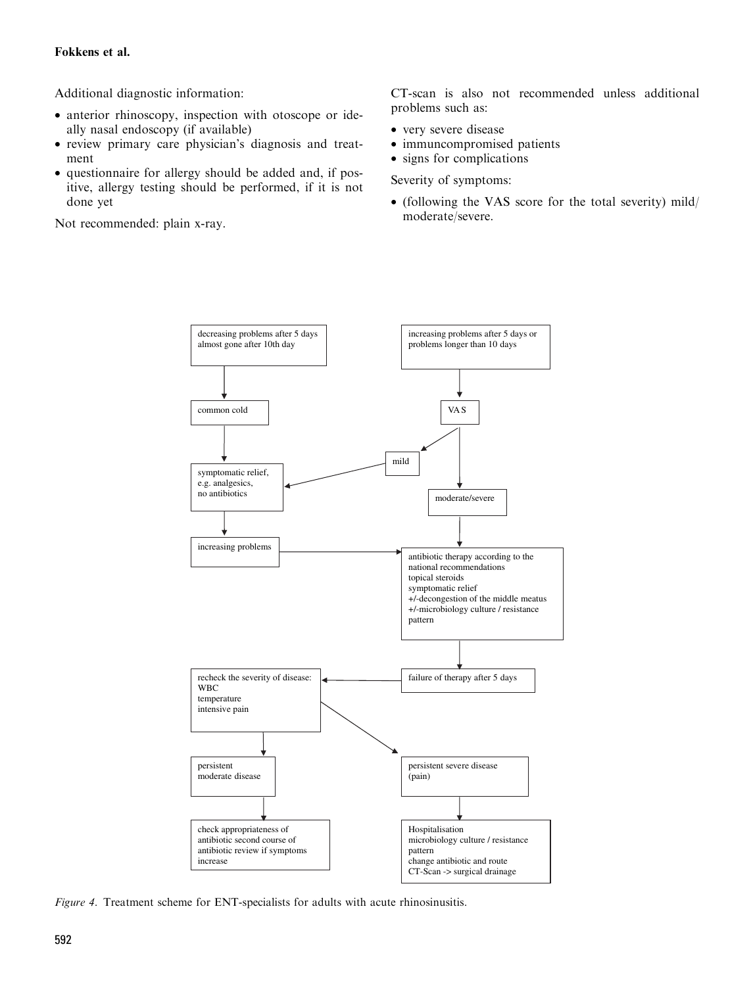#### Fokkens et al.

Additional diagnostic information:

- anterior rhinoscopy, inspection with otoscope or ideally nasal endoscopy (if available)
- review primary care physician's diagnosis and treatment
- questionnaire for allergy should be added and, if positive, allergy testing should be performed, if it is not done yet

Not recommended: plain x-ray.

CT-scan is also not recommended unless additional problems such as:

- very severe disease
- immuncompromised patients
- signs for complications
- Severity of symptoms:
- (following the VAS score for the total severity) mild/ moderate/severe.



Figure 4. Treatment scheme for ENT-specialists for adults with acute rhinosinusitis.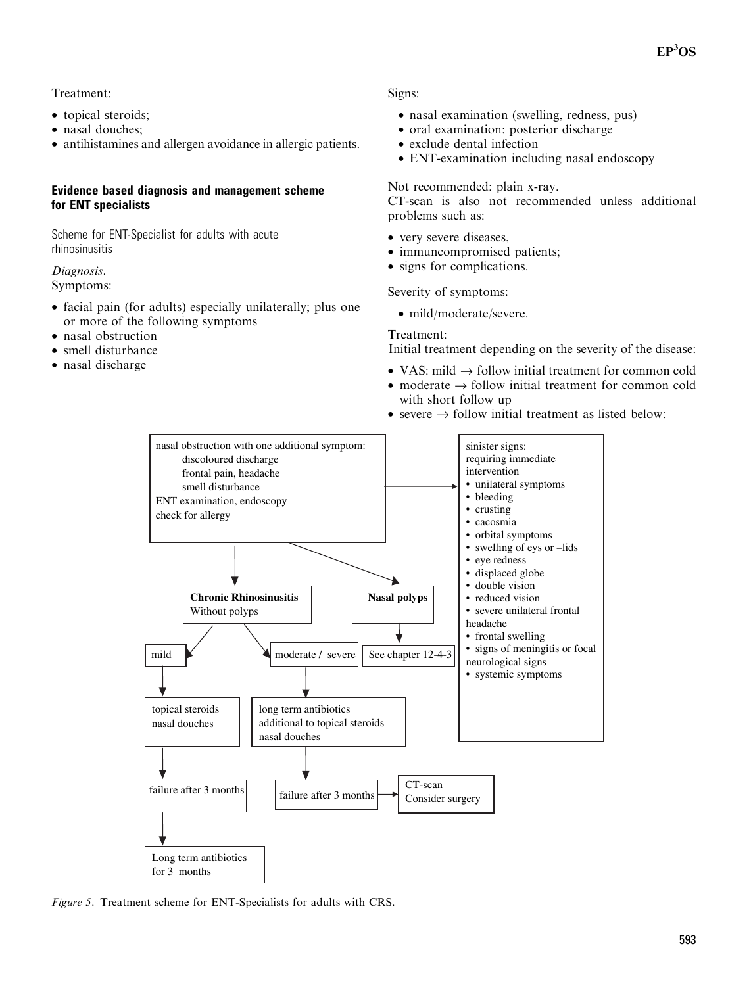## Treatment:

- topical steroids;
- nasal douches;
- antihistamines and allergen avoidance in allergic patients.

### Evidence based diagnosis and management scheme for ENT specialists

Scheme for ENT-Specialist for adults with acute rhinosinusitis

### Diagnosis.

Symptoms:

- facial pain (for adults) especially unilaterally; plus one or more of the following symptoms
- nasal obstruction
- smell disturbance
- nasal discharge

### Signs:

- nasal examination (swelling, redness, pus)
- oral examination: posterior discharge
- exclude dental infection
- ENT-examination including nasal endoscopy

Not recommended: plain x-ray.

CT-scan is also not recommended unless additional problems such as:

- very severe diseases,
- immuncompromised patients;
- signs for complications.

Severity of symptoms:

• mild/moderate/severe.

#### Treatment:

Initial treatment depending on the severity of the disease:

- VAS: mild  $\rightarrow$  follow initial treatment for common cold
- moderate  $\rightarrow$  follow initial treatment for common cold with short follow up
- severe  $\rightarrow$  follow initial treatment as listed below:



Figure 5. Treatment scheme for ENT-Specialists for adults with CRS.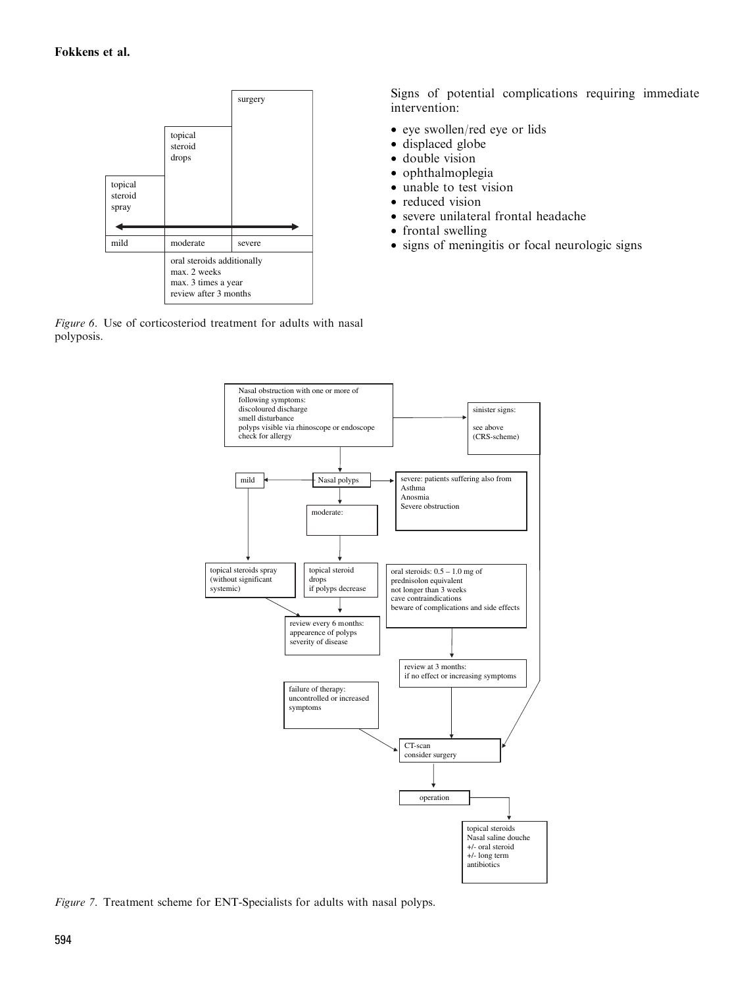

Figure 6. Use of corticosteriod treatment for adults with nasal polyposis.

Signs of potential complications requiring immediate intervention:

- eye swollen/red eye or lids
- displaced globe
- double vision
- ophthalmoplegia
- unable to test vision
- reduced vision
- severe unilateral frontal headache
- frontal swelling
- signs of meningitis or focal neurologic signs



Figure 7. Treatment scheme for ENT-Specialists for adults with nasal polyps.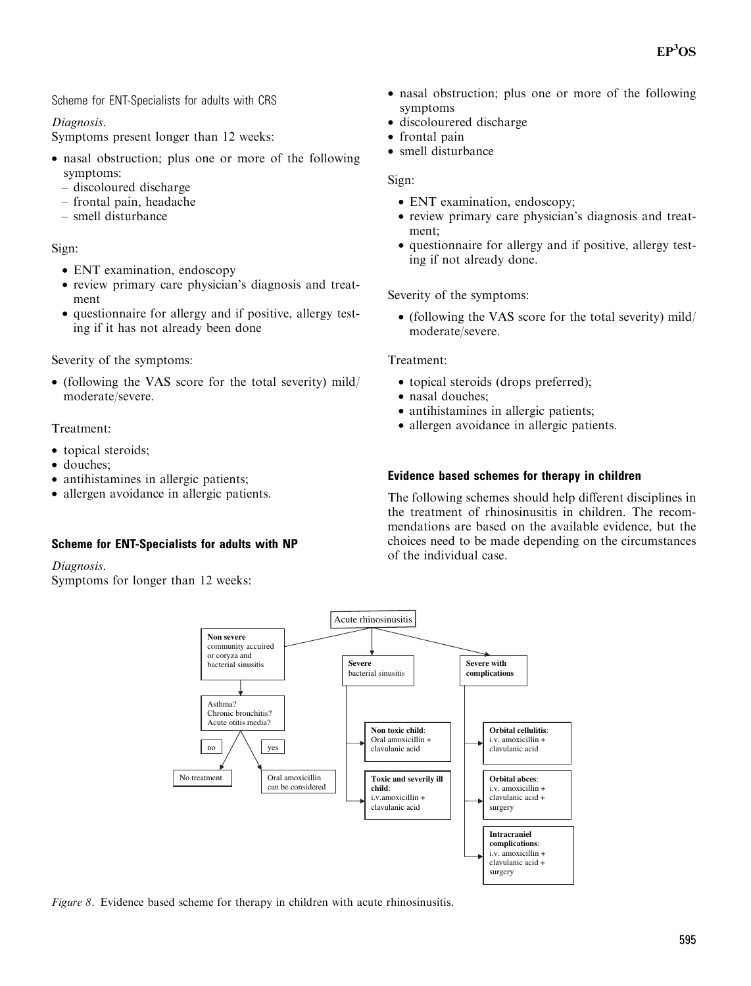Scheme for ENT-Specialists for adults with CRS

Diagnosis.

Symptoms present longer than 12 weeks:

- nasal obstruction; plus one or more of the following symptoms:
	- discoloured discharge
	- frontal pain, headache
	- smell disturbance

## Sign:

- ENT examination, endoscopy
- review primary care physician's diagnosis and treatment
- questionnaire for allergy and if positive, allergy testing if it has not already been done

## Severity of the symptoms:

• (following the VAS score for the total severity) mild/ moderate/severe.

## Treatment:

- topical steroids;
- douches;
- antihistamines in allergic patients:
- allergen avoidance in allergic patients.

## Scheme for ENT-Specialists for adults with NP

### Diagnosis.

Symptoms for longer than 12 weeks:

- nasal obstruction; plus one or more of the following symptoms
- discolourered discharge
- frontal pain
- smell disturbance

Sign:

- ENT examination, endoscopy;
- review primary care physician's diagnosis and treatment;
- questionnaire for allergy and if positive, allergy testing if not already done.

### Severity of the symptoms:

• (following the VAS score for the total severity) mild/ moderate/severe.

### Treatment:

- topical steroids (drops preferred);
- nasal douches;
- antihistamines in allergic patients:
- allergen avoidance in allergic patients.

### Evidence based schemes for therapy in children

The following schemes should help different disciplines in the treatment of rhinosinusitis in children. The recommendations are based on the available evidence, but the choices need to be made depending on the circumstances of the individual case.



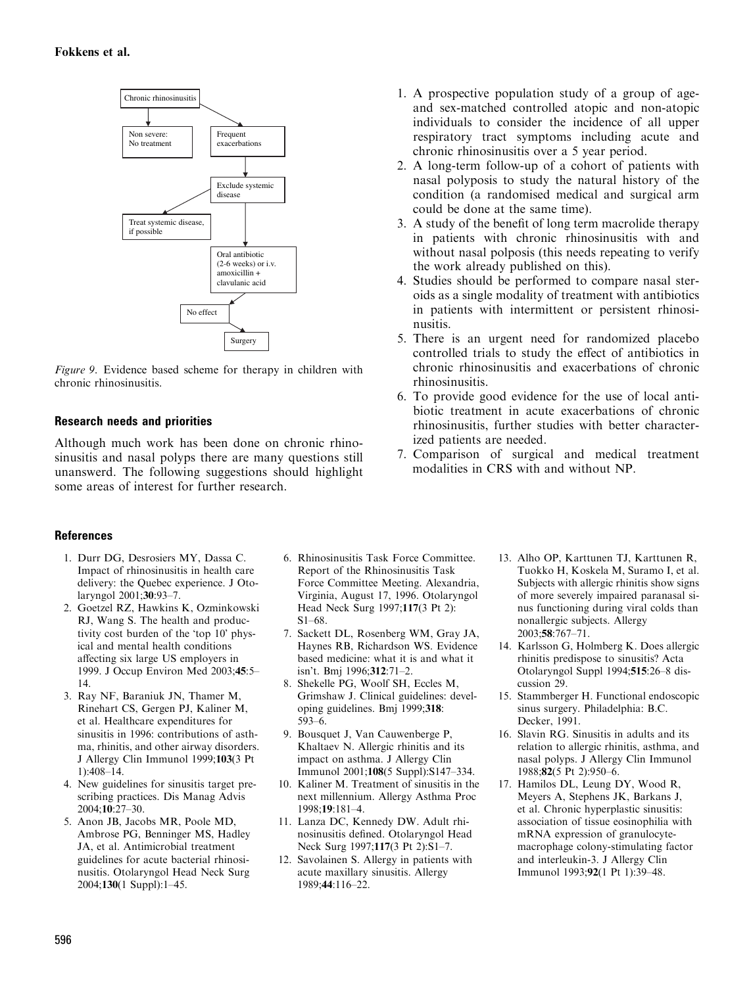

Figure 9. Evidence based scheme for therapy in children with chronic rhinosinusitis.

#### Research needs and priorities

Although much work has been done on chronic rhinosinusitis and nasal polyps there are many questions still unanswerd. The following suggestions should highlight some areas of interest for further research.

#### References

- 1. Durr DG, Desrosiers MY, Dassa C. Impact of rhinosinusitis in health care delivery: the Quebec experience. J Otolaryngol 2001;30:93–7.
- 2. Goetzel RZ, Hawkins K, Ozminkowski RJ, Wang S. The health and productivity cost burden of the 'top 10' physical and mental health conditions affecting six large US employers in 1999. J Occup Environ Med 2003;45:5– 14.
- 3. Ray NF, Baraniuk JN, Thamer M, Rinehart CS, Gergen PJ, Kaliner M, et al. Healthcare expenditures for sinusitis in 1996: contributions of asthma, rhinitis, and other airway disorders. J Allergy Clin Immunol 1999;103(3 Pt 1):408–14.
- 4. New guidelines for sinusitis target prescribing practices. Dis Manag Advis 2004;10:27–30.
- 5. Anon JB, Jacobs MR, Poole MD, Ambrose PG, Benninger MS, Hadley JA, et al. Antimicrobial treatment guidelines for acute bacterial rhinosinusitis. Otolaryngol Head Neck Surg 2004;130(1 Suppl):1–45.
- 6. Rhinosinusitis Task Force Committee. Report of the Rhinosinusitis Task Force Committee Meeting. Alexandria, Virginia, August 17, 1996. Otolaryngol Head Neck Surg 1997;117(3 Pt 2): S1–68.
- 7. Sackett DL, Rosenberg WM, Gray JA, Haynes RB, Richardson WS. Evidence based medicine: what it is and what it isn't. Bmj 1996;312:71–2.
- 8. Shekelle PG, Woolf SH, Eccles M, Grimshaw J. Clinical guidelines: developing guidelines. Bmj 1999;318: 593–6.
- 9. Bousquet J, Van Cauwenberge P, Khaltaev N. Allergic rhinitis and its impact on asthma. J Allergy Clin Immunol 2001;108(5 Suppl):S147–334.
- 10. Kaliner M. Treatment of sinusitis in the next millennium. Allergy Asthma Proc 1998;19:181–4.
- 11. Lanza DC, Kennedy DW. Adult rhinosinusitis defined. Otolaryngol Head Neck Surg 1997;117(3 Pt 2):S1–7.
- 12. Savolainen S. Allergy in patients with acute maxillary sinusitis. Allergy 1989;44:116–22.
- 1. A prospective population study of a group of ageand sex-matched controlled atopic and non-atopic individuals to consider the incidence of all upper respiratory tract symptoms including acute and chronic rhinosinusitis over a 5 year period.
- 2. A long-term follow-up of a cohort of patients with nasal polyposis to study the natural history of the condition (a randomised medical and surgical arm could be done at the same time).
- 3. A study of the benefit of long term macrolide therapy in patients with chronic rhinosinusitis with and without nasal polposis (this needs repeating to verify the work already published on this).
- 4. Studies should be performed to compare nasal steroids as a single modality of treatment with antibiotics in patients with intermittent or persistent rhinosinusitis.
- 5. There is an urgent need for randomized placebo controlled trials to study the effect of antibiotics in chronic rhinosinusitis and exacerbations of chronic rhinosinusitis.
- 6. To provide good evidence for the use of local antibiotic treatment in acute exacerbations of chronic rhinosinusitis, further studies with better characterized patients are needed.
- 7. Comparison of surgical and medical treatment modalities in CRS with and without NP.
	- 13. Alho OP, Karttunen TJ, Karttunen R, Tuokko H, Koskela M, Suramo I, et al. Subjects with allergic rhinitis show signs of more severely impaired paranasal sinus functioning during viral colds than nonallergic subjects. Allergy 2003;58:767–71.
	- 14. Karlsson G, Holmberg K. Does allergic rhinitis predispose to sinusitis? Acta Otolaryngol Suppl 1994;515:26–8 discussion 29.
	- 15. Stammberger H. Functional endoscopic sinus surgery. Philadelphia: B.C. Decker, 1991.
	- 16. Slavin RG. Sinusitis in adults and its relation to allergic rhinitis, asthma, and nasal polyps. J Allergy Clin Immunol 1988;82(5 Pt 2):950–6.
	- 17. Hamilos DL, Leung DY, Wood R, Meyers A, Stephens JK, Barkans J, et al. Chronic hyperplastic sinusitis: association of tissue eosinophilia with mRNA expression of granulocytemacrophage colony-stimulating factor and interleukin-3. J Allergy Clin Immunol 1993;92(1 Pt 1):39–48.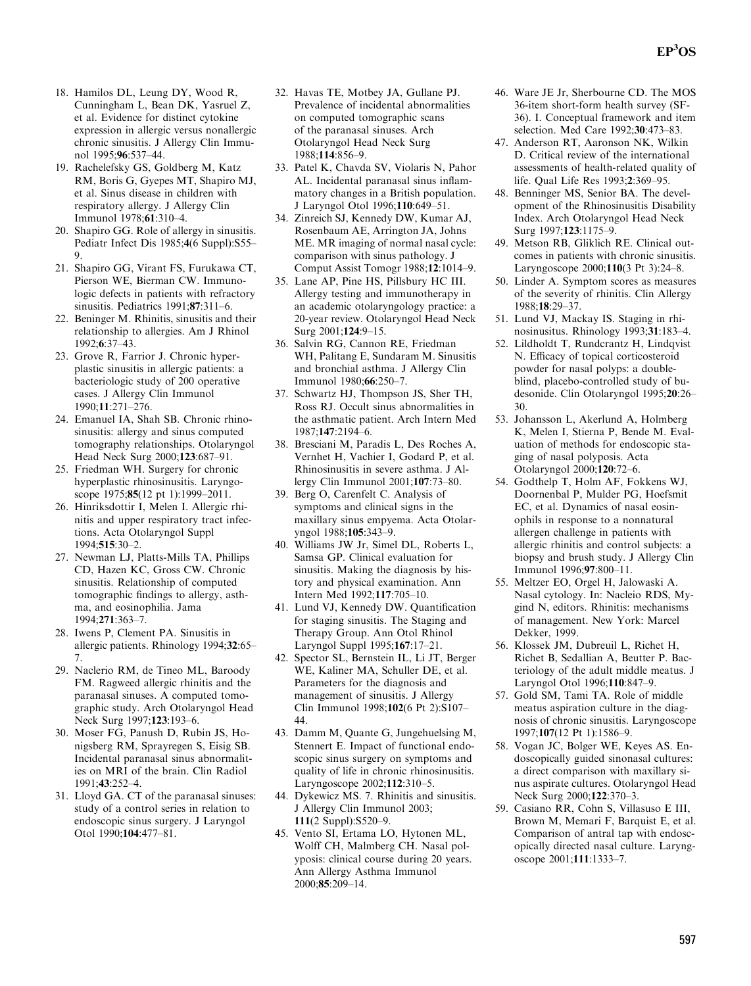- 18. Hamilos DL, Leung DY, Wood R, Cunningham L, Bean DK, Yasruel Z, et al. Evidence for distinct cytokine expression in allergic versus nonallergic chronic sinusitis. J Allergy Clin Immunol 1995;96:537–44.
- 19. Rachelefsky GS, Goldberg M, Katz RM, Boris G, Gyepes MT, Shapiro MJ, et al. Sinus disease in children with respiratory allergy. J Allergy Clin Immunol 1978;61:310–4.
- 20. Shapiro GG. Role of allergy in sinusitis. Pediatr Infect Dis 1985;4(6 Suppl):S55– 9.
- 21. Shapiro GG, Virant FS, Furukawa CT, Pierson WE, Bierman CW. Immunologic defects in patients with refractory sinusitis. Pediatrics 1991;87:311–6.
- 22. Beninger M. Rhinitis, sinusitis and their relationship to allergies. Am J Rhinol 1992;6:37–43.
- 23. Grove R, Farrior J. Chronic hyperplastic sinusitis in allergic patients: a bacteriologic study of 200 operative cases. J Allergy Clin Immunol 1990;11:271–276.
- 24. Emanuel IA, Shah SB. Chronic rhinosinusitis: allergy and sinus computed tomography relationships. Otolaryngol Head Neck Surg 2000;123:687–91.
- 25. Friedman WH. Surgery for chronic hyperplastic rhinosinusitis. Laryngoscope 1975;85(12 pt 1):1999-2011.
- 26. Hinriksdottir I, Melen I. Allergic rhinitis and upper respiratory tract infections. Acta Otolaryngol Suppl 1994;515:30–2.
- 27. Newman LJ, Platts-Mills TA, Phillips CD, Hazen KC, Gross CW. Chronic sinusitis. Relationship of computed tomographic findings to allergy, asthma, and eosinophilia. Jama 1994;271:363–7.
- 28. Iwens P, Clement PA. Sinusitis in allergic patients. Rhinology 1994;32:65– 7.
- 29. Naclerio RM, de Tineo ML, Baroody FM. Ragweed allergic rhinitis and the paranasal sinuses. A computed tomographic study. Arch Otolaryngol Head Neck Surg 1997;123:193–6.
- 30. Moser FG, Panush D, Rubin JS, Honigsberg RM, Sprayregen S, Eisig SB. Incidental paranasal sinus abnormalities on MRI of the brain. Clin Radiol 1991;43:252–4.
- 31. Lloyd GA. CT of the paranasal sinuses: study of a control series in relation to endoscopic sinus surgery. J Laryngol Otol 1990;104:477–81.
- 32. Havas TE, Motbey JA, Gullane PJ. Prevalence of incidental abnormalities on computed tomographic scans of the paranasal sinuses. Arch Otolaryngol Head Neck Surg 1988;114:856–9.
- 33. Patel K, Chavda SV, Violaris N, Pahor AL. Incidental paranasal sinus inflammatory changes in a British population. J Laryngol Otol 1996;110:649–51.
- 34. Zinreich SJ, Kennedy DW, Kumar AJ, Rosenbaum AE, Arrington JA, Johns ME. MR imaging of normal nasal cycle: comparison with sinus pathology. J Comput Assist Tomogr 1988;12:1014–9.
- 35. Lane AP, Pine HS, Pillsbury HC III. Allergy testing and immunotherapy in an academic otolaryngology practice: a 20-year review. Otolaryngol Head Neck Surg 2001;124:9–15.
- 36. Salvin RG, Cannon RE, Friedman WH, Palitang E, Sundaram M. Sinusitis and bronchial asthma. J Allergy Clin Immunol 1980;66:250–7.
- 37. Schwartz HJ, Thompson JS, Sher TH, Ross RJ. Occult sinus abnormalities in the asthmatic patient. Arch Intern Med 1987;147:2194–6.
- 38. Bresciani M, Paradis L, Des Roches A, Vernhet H, Vachier I, Godard P, et al. Rhinosinusitis in severe asthma. J Allergy Clin Immunol 2001;107:73–80.
- 39. Berg O, Carenfelt C. Analysis of symptoms and clinical signs in the maxillary sinus empyema. Acta Otolaryngol 1988;105:343–9.
- 40. Williams JW Jr, Simel DL, Roberts L, Samsa GP. Clinical evaluation for sinusitis. Making the diagnosis by history and physical examination. Ann Intern Med 1992;117:705–10.
- 41. Lund VJ, Kennedy DW. Quantification for staging sinusitis. The Staging and Therapy Group. Ann Otol Rhinol Laryngol Suppl 1995;167:17–21.
- 42. Spector SL, Bernstein IL, Li JT, Berger WE, Kaliner MA, Schuller DE, et al. Parameters for the diagnosis and management of sinusitis. J Allergy Clin Immunol 1998;102(6 Pt 2):S107– 44.
- 43. Damm M, Quante G, Jungehuelsing M, Stennert E. Impact of functional endoscopic sinus surgery on symptoms and quality of life in chronic rhinosinusitis. Laryngoscope 2002;112:310–5.
- 44. Dykewicz MS. 7. Rhinitis and sinusitis. J Allergy Clin Immunol 2003; 111(2 Suppl):S520–9.
- 45. Vento SI, Ertama LO, Hytonen ML, Wolff CH, Malmberg CH. Nasal polyposis: clinical course during 20 years. Ann Allergy Asthma Immunol 2000;85:209–14.
- 46. Ware JE Jr, Sherbourne CD. The MOS 36-item short-form health survey (SF-36). I. Conceptual framework and item selection. Med Care 1992;30:473–83.
- 47. Anderson RT, Aaronson NK, Wilkin D. Critical review of the international assessments of health-related quality of life. Qual Life Res 1993;2:369–95.
- 48. Benninger MS, Senior BA. The development of the Rhinosinusitis Disability Index. Arch Otolaryngol Head Neck Surg 1997;123:1175–9.
- 49. Metson RB, Gliklich RE. Clinical outcomes in patients with chronic sinusitis. Laryngoscope 2000;110(3 Pt 3):24–8.
- 50. Linder A. Symptom scores as measures of the severity of rhinitis. Clin Allergy 1988;18:29–37.
- 51. Lund VJ, Mackay IS. Staging in rhinosinusitus. Rhinology 1993;31:183–4.
- 52. Lildholdt T, Rundcrantz H, Lindqvist N. Efficacy of topical corticosteroid powder for nasal polyps: a doubleblind, placebo-controlled study of budesonide. Clin Otolaryngol 1995;20:26– 30.
- 53. Johansson L, Akerlund A, Holmberg K, Melen I, Stierna P, Bende M. Evaluation of methods for endoscopic staging of nasal polyposis. Acta Otolaryngol 2000;120:72–6.
- 54. Godthelp T, Holm AF, Fokkens WJ, Doornenbal P, Mulder PG, Hoefsmit EC, et al. Dynamics of nasal eosinophils in response to a nonnatural allergen challenge in patients with allergic rhinitis and control subjects: a biopsy and brush study. J Allergy Clin Immunol 1996;97:800–11.
- 55. Meltzer EO, Orgel H, Jalowaski A. Nasal cytology. In: Nacleio RDS, Mygind N, editors. Rhinitis: mechanisms of management. New York: Marcel Dekker, 1999.
- 56. Klossek JM, Dubreuil L, Richet H, Richet B, Sedallian A, Beutter P. Bacteriology of the adult middle meatus. J Laryngol Otol 1996;110:847–9.
- 57. Gold SM, Tami TA. Role of middle meatus aspiration culture in the diagnosis of chronic sinusitis. Laryngoscope 1997;107(12 Pt 1):1586–9.
- 58. Vogan JC, Bolger WE, Keyes AS. Endoscopically guided sinonasal cultures: a direct comparison with maxillary sinus aspirate cultures. Otolaryngol Head Neck Surg 2000;122:370–3.
- 59. Casiano RR, Cohn S, Villasuso E III, Brown M, Memari F, Barquist E, et al. Comparison of antral tap with endoscopically directed nasal culture. Laryngoscope 2001;111:1333–7.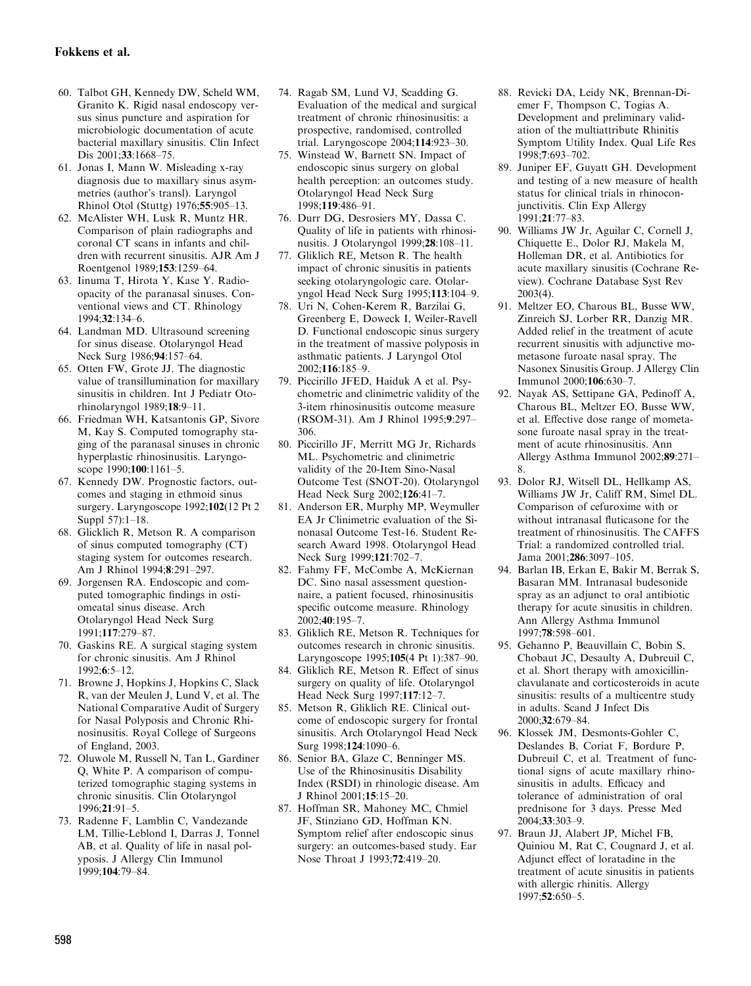- 60. Talbot GH, Kennedy DW, Scheld WM, Granito K. Rigid nasal endoscopy versus sinus puncture and aspiration for microbiologic documentation of acute bacterial maxillary sinusitis. Clin Infect Dis 2001;33:1668–75.
- 61. Jonas I, Mann W. Misleading x-ray diagnosis due to maxillary sinus asymmetries (author's transl). Laryngol Rhinol Otol (Stuttg) 1976;55:905–13.
- 62. McAlister WH, Lusk R, Muntz HR. Comparison of plain radiographs and coronal CT scans in infants and children with recurrent sinusitis. AJR Am J Roentgenol 1989;153:1259–64.
- 63. Iinuma T, Hirota Y, Kase Y. Radioopacity of the paranasal sinuses. Conventional views and CT. Rhinology 1994;32:134–6.
- 64. Landman MD. Ultrasound screening for sinus disease. Otolaryngol Head Neck Surg 1986;94:157–64.
- 65. Otten FW, Grote JJ. The diagnostic value of transillumination for maxillary sinusitis in children. Int J Pediatr Otorhinolaryngol 1989;18:9–11.
- 66. Friedman WH, Katsantonis GP, Sivore M, Kay S. Computed tomography staging of the paranasal sinuses in chronic hyperplastic rhinosinusitis. Laryngoscope 1990;100:1161–5.
- 67. Kennedy DW. Prognostic factors, outcomes and staging in ethmoid sinus surgery. Laryngoscope 1992;102(12 Pt 2 Suppl 57):1–18.
- 68. Glicklich R, Metson R. A comparison of sinus computed tomography (CT) staging system for outcomes research. Am J Rhinol 1994;8:291–297.
- 69. Jorgensen RA. Endoscopic and computed tomographic findings in ostiomeatal sinus disease. Arch Otolaryngol Head Neck Surg 1991;117:279–87.
- 70. Gaskins RE. A surgical staging system for chronic sinusitis. Am J Rhinol 1992;6:5–12.
- 71. Browne J, Hopkins J, Hopkins C, Slack R, van der Meulen J, Lund V, et al. The National Comparative Audit of Surgery for Nasal Polyposis and Chronic Rhinosinusitis. Royal College of Surgeons of England, 2003.
- 72. Oluwole M, Russell N, Tan L, Gardiner Q, White P. A comparison of computerized tomographic staging systems in chronic sinusitis. Clin Otolaryngol 1996;21:91–5.
- 73. Radenne F, Lamblin C, Vandezande LM, Tillie-Leblond I, Darras J, Tonnel AB, et al. Quality of life in nasal polyposis. J Allergy Clin Immunol 1999;104:79–84.
- 74. Ragab SM, Lund VJ, Scadding G. Evaluation of the medical and surgical treatment of chronic rhinosinusitis: a prospective, randomised, controlled trial. Laryngoscope 2004;114:923–30.
- 75. Winstead W, Barnett SN. Impact of endoscopic sinus surgery on global health perception: an outcomes study. Otolaryngol Head Neck Surg 1998;119:486–91.
- 76. Durr DG, Desrosiers MY, Dassa C. Quality of life in patients with rhinosinusitis. J Otolaryngol 1999;28:108–11.
- 77. Gliklich RE, Metson R. The health impact of chronic sinusitis in patients seeking otolaryngologic care. Otolaryngol Head Neck Surg 1995;113:104–9.
- 78. Uri N, Cohen-Kerem R, Barzilai G, Greenberg E, Doweck I, Weiler-Ravell D. Functional endoscopic sinus surgery in the treatment of massive polyposis in asthmatic patients. J Laryngol Otol 2002;116:185–9.
- 79. Piccirillo JFED, Haiduk A et al. Psychometric and clinimetric validity of the 3-item rhinosinusitis outcome measure (RSOM-31). Am J Rhinol 1995;9:297– 306.
- 80. Piccirillo JF, Merritt MG Jr, Richards ML. Psychometric and clinimetric validity of the 20-Item Sino-Nasal Outcome Test (SNOT-20). Otolaryngol Head Neck Surg 2002;126:41–7.
- 81. Anderson ER, Murphy MP, Weymuller EA Jr Clinimetric evaluation of the Sinonasal Outcome Test-16. Student Research Award 1998. Otolaryngol Head Neck Surg 1999;121:702–7.
- 82. Fahmy FF, McCombe A, McKiernan DC. Sino nasal assessment questionnaire, a patient focused, rhinosinusitis specific outcome measure. Rhinology 2002;40:195–7.
- 83. Gliklich RE, Metson R. Techniques for outcomes research in chronic sinusitis. Laryngoscope 1995;105(4 Pt 1):387–90.
- 84. Gliklich RE, Metson R. Effect of sinus surgery on quality of life. Otolaryngol Head Neck Surg 1997;117:12–7.
- 85. Metson R, Gliklich RE. Clinical outcome of endoscopic surgery for frontal sinusitis. Arch Otolaryngol Head Neck Surg 1998;124:1090–6.
- 86. Senior BA, Glaze C, Benninger MS. Use of the Rhinosinusitis Disability Index (RSDI) in rhinologic disease. Am J Rhinol 2001;15:15–20.
- 87. Hoffman SR, Mahoney MC, Chmiel JF, Stinziano GD, Hoffman KN. Symptom relief after endoscopic sinus surgery: an outcomes-based study. Ear Nose Throat J 1993;72:419–20.
- 88. Revicki DA, Leidy NK, Brennan-Diemer F, Thompson C, Togias A. Development and preliminary validation of the multiattribute Rhinitis Symptom Utility Index. Qual Life Res 1998;7:693–702.
- 89. Juniper EF, Guyatt GH. Development and testing of a new measure of health status for clinical trials in rhinoconjunctivitis. Clin Exp Allergy 1991;21:77–83.
- 90. Williams JW Jr, Aguilar C, Cornell J, Chiquette E., Dolor RJ, Makela M, Holleman DR, et al. Antibiotics for acute maxillary sinusitis (Cochrane Review). Cochrane Database Syst Rev 2003(4).
- 91. Meltzer EO, Charous BL, Busse WW, Zinreich SJ, Lorber RR, Danzig MR. Added relief in the treatment of acute recurrent sinusitis with adjunctive mometasone furoate nasal spray. The Nasonex Sinusitis Group. J Allergy Clin Immunol 2000;106:630–7.
- 92. Nayak AS, Settipane GA, Pedinoff A, Charous BL, Meltzer EO, Busse WW, et al. Effective dose range of mometasone furoate nasal spray in the treatment of acute rhinosinusitis. Ann Allergy Asthma Immunol 2002;89:271– 8.
- 93. Dolor RJ, Witsell DL, Hellkamp AS, Williams JW Jr, Califf RM, Simel DL. Comparison of cefuroxime with or without intranasal fluticasone for the treatment of rhinosinusitis. The CAFFS Trial: a randomized controlled trial. Jama 2001;286:3097–105.
- 94. Barlan IB, Erkan E, Bakir M, Berrak S, Basaran MM. Intranasal budesonide spray as an adjunct to oral antibiotic therapy for acute sinusitis in children. Ann Allergy Asthma Immunol 1997;78:598–601.
- 95. Gehanno P, Beauvillain C, Bobin S, Chobaut JC, Desaulty A, Dubreuil C, et al. Short therapy with amoxicillinclavulanate and corticosteroids in acute sinusitis: results of a multicentre study in adults. Scand J Infect Dis 2000;32:679–84.
- 96. Klossek JM, Desmonts-Gohler C, Deslandes B, Coriat F, Bordure P, Dubreuil C, et al. Treatment of functional signs of acute maxillary rhinosinusitis in adults. Efficacy and tolerance of administration of oral prednisone for 3 days. Presse Med 2004;33:303–9.
- 97. Braun JJ, Alabert JP, Michel FB, Quiniou M, Rat C, Cougnard J, et al. Adjunct effect of loratadine in the treatment of acute sinusitis in patients with allergic rhinitis. Allergy 1997;52:650–5.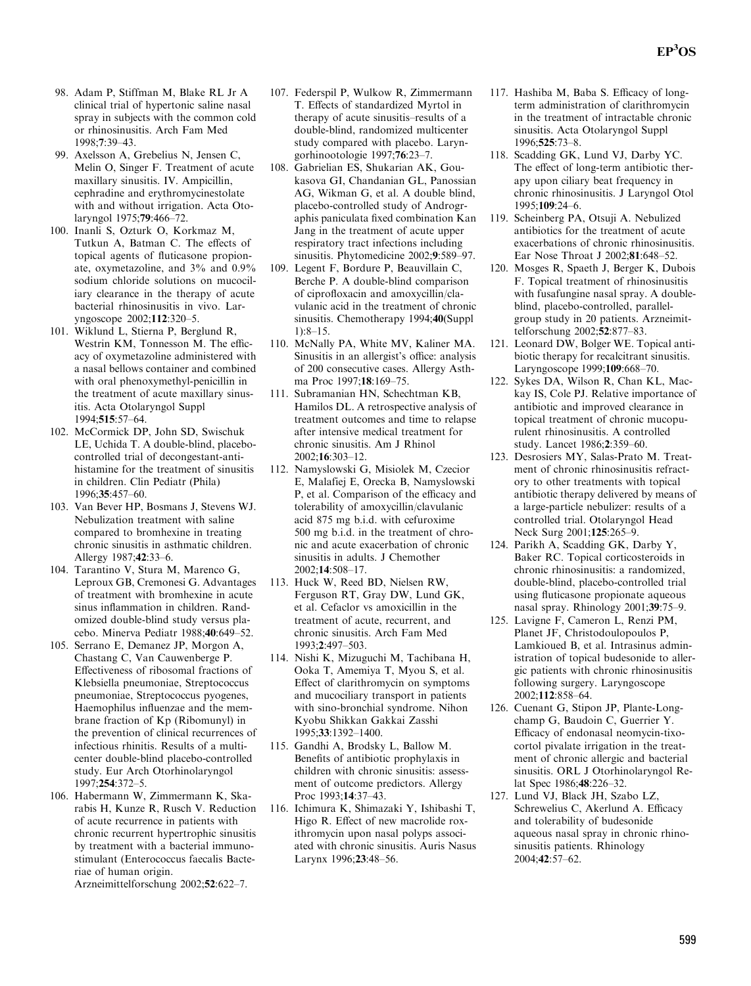- 98. Adam P, Stiffman M, Blake RL Jr A clinical trial of hypertonic saline nasal spray in subjects with the common cold or rhinosinusitis. Arch Fam Med 1998;7:39–43.
- 99. Axelsson A, Grebelius N, Jensen C, Melin O, Singer F. Treatment of acute maxillary sinusitis. IV. Ampicillin, cephradine and erythromycinestolate with and without irrigation. Acta Otolaryngol 1975;79:466–72.
- 100. Inanli S, Ozturk O, Korkmaz M, Tutkun A, Batman C. The effects of topical agents of fluticasone propionate, oxymetazoline, and 3% and 0.9% sodium chloride solutions on mucociliary clearance in the therapy of acute bacterial rhinosinusitis in vivo. Laryngoscope 2002;112:320–5.
- 101. Wiklund L, Stierna P, Berglund R, Westrin KM, Tonnesson M. The efficacy of oxymetazoline administered with a nasal bellows container and combined with oral phenoxymethyl-penicillin in the treatment of acute maxillary sinusitis. Acta Otolaryngol Suppl 1994;515:57–64.
- 102. McCormick DP, John SD, Swischuk LE, Uchida T. A double-blind, placebocontrolled trial of decongestant-antihistamine for the treatment of sinusitis in children. Clin Pediatr (Phila) 1996;35:457–60.
- 103. Van Bever HP, Bosmans J, Stevens WJ. Nebulization treatment with saline compared to bromhexine in treating chronic sinusitis in asthmatic children. Allergy 1987;42:33–6.
- 104. Tarantino V, Stura M, Marenco G, Leproux GB, Cremonesi G. Advantages of treatment with bromhexine in acute sinus inflammation in children. Randomized double-blind study versus placebo. Minerva Pediatr 1988;40:649–52.
- 105. Serrano E, Demanez JP, Morgon A, Chastang C, Van Cauwenberge P. Effectiveness of ribosomal fractions of Klebsiella pneumoniae, Streptococcus pneumoniae, Streptococcus pyogenes, Haemophilus influenzae and the membrane fraction of Kp (Ribomunyl) in the prevention of clinical recurrences of infectious rhinitis. Results of a multicenter double-blind placebo-controlled study. Eur Arch Otorhinolaryngol 1997;254:372–5.
- 106. Habermann W, Zimmermann K, Skarabis H, Kunze R, Rusch V. Reduction of acute recurrence in patients with chronic recurrent hypertrophic sinusitis by treatment with a bacterial immunostimulant (Enterococcus faecalis Bacteriae of human origin.

Arzneimittelforschung 2002;52:622–7.

- 107. Federspil P, Wulkow R, Zimmermann T. Effects of standardized Myrtol in therapy of acute sinusitis–results of a double-blind, randomized multicenter study compared with placebo. Laryngorhinootologie 1997;76:23–7.
- 108. Gabrielian ES, Shukarian AK, Goukasova GI, Chandanian GL, Panossian AG, Wikman G, et al. A double blind, placebo-controlled study of Andrographis paniculata fixed combination Kan Jang in the treatment of acute upper respiratory tract infections including sinusitis. Phytomedicine 2002;9:589–97.
- 109. Legent F, Bordure P, Beauvillain C, Berche P. A double-blind comparison of ciprofloxacin and amoxycillin/clavulanic acid in the treatment of chronic sinusitis. Chemotherapy 1994;40(Suppl 1):8–15.
- 110. McNally PA, White MV, Kaliner MA. Sinusitis in an allergist's office: analysis of 200 consecutive cases. Allergy Asthma Proc 1997;18:169–75.
- 111. Subramanian HN, Schechtman KB, Hamilos DL. A retrospective analysis of treatment outcomes and time to relapse after intensive medical treatment for chronic sinusitis. Am J Rhinol 2002;16:303–12.
- 112. Namyslowski G, Misiolek M, Czecior E, Malafiej E, Orecka B, Namyslowski P, et al. Comparison of the efficacy and tolerability of amoxycillin/clavulanic acid 875 mg b.i.d. with cefuroxime 500 mg b.i.d. in the treatment of chronic and acute exacerbation of chronic sinusitis in adults. J Chemother 2002;14:508–17.
- 113. Huck W, Reed BD, Nielsen RW, Ferguson RT, Gray DW, Lund GK, et al. Cefaclor vs amoxicillin in the treatment of acute, recurrent, and chronic sinusitis. Arch Fam Med 1993;2:497–503.
- 114. Nishi K, Mizuguchi M, Tachibana H, Ooka T, Amemiya T, Myou S, et al. Effect of clarithromycin on symptoms and mucociliary transport in patients with sino-bronchial syndrome. Nihon Kyobu Shikkan Gakkai Zasshi 1995;33:1392–1400.
- 115. Gandhi A, Brodsky L, Ballow M. Benefits of antibiotic prophylaxis in children with chronic sinusitis: assessment of outcome predictors. Allergy Proc 1993;14:37–43.
- 116. Ichimura K, Shimazaki Y, Ishibashi T, Higo R. Effect of new macrolide roxithromycin upon nasal polyps associated with chronic sinusitis. Auris Nasus Larynx 1996;23:48–56.
- 117. Hashiba M, Baba S. Efficacy of longterm administration of clarithromycin in the treatment of intractable chronic sinusitis. Acta Otolaryngol Suppl 1996;525:73–8.
- 118. Scadding GK, Lund VJ, Darby YC. The effect of long-term antibiotic therapy upon ciliary beat frequency in chronic rhinosinusitis. J Laryngol Otol 1995;109:24–6.
- 119. Scheinberg PA, Otsuji A. Nebulized antibiotics for the treatment of acute exacerbations of chronic rhinosinusitis. Ear Nose Throat J 2002;81:648–52.
- 120. Mosges R, Spaeth J, Berger K, Dubois F. Topical treatment of rhinosinusitis with fusafungine nasal spray. A doubleblind, placebo-controlled, parallelgroup study in 20 patients. Arzneimittelforschung 2002;52:877–83.
- 121. Leonard DW, Bolger WE. Topical antibiotic therapy for recalcitrant sinusitis. Laryngoscope 1999;109:668–70.
- 122. Sykes DA, Wilson R, Chan KL, Mackay IS, Cole PJ. Relative importance of antibiotic and improved clearance in topical treatment of chronic mucopurulent rhinosinusitis. A controlled study. Lancet 1986;2:359–60.
- 123. Desrosiers MY, Salas-Prato M. Treatment of chronic rhinosinusitis refractory to other treatments with topical antibiotic therapy delivered by means of a large-particle nebulizer: results of a controlled trial. Otolaryngol Head Neck Surg 2001;125:265–9.
- 124. Parikh A, Scadding GK, Darby Y, Baker RC. Topical corticosteroids in chronic rhinosinusitis: a randomized, double-blind, placebo-controlled trial using fluticasone propionate aqueous nasal spray. Rhinology 2001;39:75–9.
- 125. Lavigne F, Cameron L, Renzi PM, Planet JF, Christodoulopoulos P, Lamkioued B, et al. Intrasinus administration of topical budesonide to allergic patients with chronic rhinosinusitis following surgery. Laryngoscope 2002;112:858–64.
- 126. Cuenant G, Stipon JP, Plante-Longchamp G, Baudoin C, Guerrier Y. Efficacy of endonasal neomycin-tixocortol pivalate irrigation in the treatment of chronic allergic and bacterial sinusitis. ORL J Otorhinolaryngol Relat Spec 1986;48:226–32.
- 127. Lund VJ, Black JH, Szabo LZ, Schrewelius C, Akerlund A. Efficacy and tolerability of budesonide aqueous nasal spray in chronic rhinosinusitis patients. Rhinology 2004;42:57–62.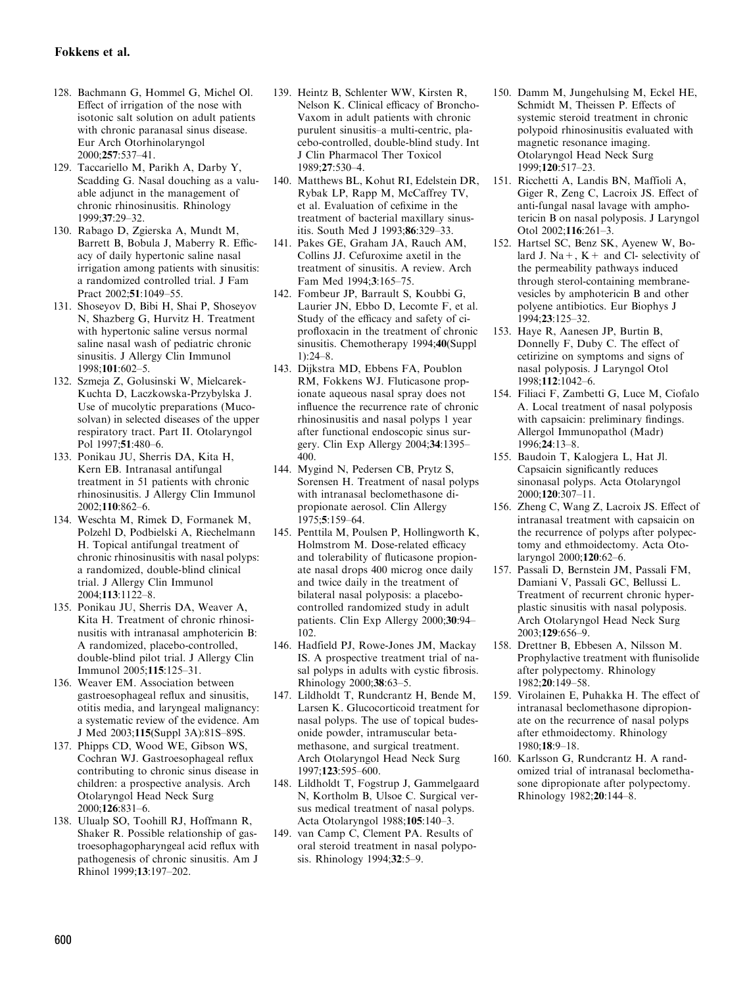- 128. Bachmann G, Hommel G, Michel Ol. Effect of irrigation of the nose with isotonic salt solution on adult patients with chronic paranasal sinus disease. Eur Arch Otorhinolaryngol 2000;257:537–41.
- 129. Taccariello M, Parikh A, Darby Y, Scadding G. Nasal douching as a valuable adjunct in the management of chronic rhinosinusitis. Rhinology 1999;37:29–32.
- 130. Rabago D, Zgierska A, Mundt M, Barrett B, Bobula J, Maberry R. Efficacy of daily hypertonic saline nasal irrigation among patients with sinusitis: a randomized controlled trial. J Fam Pract 2002;51:1049–55.
- 131. Shoseyov D, Bibi H, Shai P, Shoseyov N, Shazberg G, Hurvitz H. Treatment with hypertonic saline versus normal saline nasal wash of pediatric chronic sinusitis. J Allergy Clin Immunol 1998;101:602–5.
- 132. Szmeja Z, Golusinski W, Mielcarek-Kuchta D, Laczkowska-Przybylska J. Use of mucolytic preparations (Mucosolvan) in selected diseases of the upper respiratory tract. Part II. Otolaryngol Pol 1997;51:480–6.
- 133. Ponikau JU, Sherris DA, Kita H, Kern EB. Intranasal antifungal treatment in 51 patients with chronic rhinosinusitis. J Allergy Clin Immunol 2002;110:862–6.
- 134. Weschta M, Rimek D, Formanek M, Polzehl D, Podbielski A, Riechelmann H. Topical antifungal treatment of chronic rhinosinusitis with nasal polyps: a randomized, double-blind clinical trial. J Allergy Clin Immunol 2004;113:1122–8.
- 135. Ponikau JU, Sherris DA, Weaver A, Kita H. Treatment of chronic rhinosinusitis with intranasal amphotericin B: A randomized, placebo-controlled, double-blind pilot trial. J Allergy Clin Immunol 2005;115:125–31.
- 136. Weaver EM. Association between gastroesophageal reflux and sinusitis, otitis media, and laryngeal malignancy: a systematic review of the evidence. Am J Med 2003;115(Suppl 3A):81S–89S.
- 137. Phipps CD, Wood WE, Gibson WS, Cochran WJ. Gastroesophageal reflux contributing to chronic sinus disease in children: a prospective analysis. Arch Otolaryngol Head Neck Surg 2000;126:831–6.
- 138. Ulualp SO, Toohill RJ, Hoffmann R, Shaker R. Possible relationship of gastroesophagopharyngeal acid reflux with pathogenesis of chronic sinusitis. Am J Rhinol 1999;13:197–202.
- 139. Heintz B, Schlenter WW, Kirsten R, Nelson K. Clinical efficacy of Broncho-Vaxom in adult patients with chronic purulent sinusitis–a multi-centric, placebo-controlled, double-blind study. Int J Clin Pharmacol Ther Toxicol 1989;27:530–4.
- 140. Matthews BL, Kohut RI, Edelstein DR, Rybak LP, Rapp M, McCaffrey TV, et al. Evaluation of cefixime in the treatment of bacterial maxillary sinusitis. South Med J 1993;86:329–33.
- 141. Pakes GE, Graham JA, Rauch AM, Collins JJ. Cefuroxime axetil in the treatment of sinusitis. A review. Arch Fam Med 1994;3:165–75.
- 142. Fombeur JP, Barrault S, Koubbi G, Laurier JN, Ebbo D, Lecomte F, et al. Study of the efficacy and safety of ciprofloxacin in the treatment of chronic sinusitis. Chemotherapy 1994;40(Suppl 1):24–8.
- 143. Dijkstra MD, Ebbens FA, Poublon RM, Fokkens WJ. Fluticasone propionate aqueous nasal spray does not influence the recurrence rate of chronic rhinosinusitis and nasal polyps 1 year after functional endoscopic sinus surgery. Clin Exp Allergy 2004;34:1395– 400.
- 144. Mygind N, Pedersen CB, Prytz S, Sorensen H. Treatment of nasal polyps with intranasal beclomethasone dipropionate aerosol. Clin Allergy 1975;5:159–64.
- 145. Penttila M, Poulsen P, Hollingworth K, Holmstrom M. Dose-related efficacy and tolerability of fluticasone propionate nasal drops 400 microg once daily and twice daily in the treatment of bilateral nasal polyposis: a placebocontrolled randomized study in adult patients. Clin Exp Allergy 2000;30:94– 102.
- 146. Hadfield PJ, Rowe-Jones JM, Mackay IS. A prospective treatment trial of nasal polyps in adults with cystic fibrosis. Rhinology 2000;38:63–5.
- 147. Lildholdt T, Rundcrantz H, Bende M, Larsen K. Glucocorticoid treatment for nasal polyps. The use of topical budesonide powder, intramuscular betamethasone, and surgical treatment. Arch Otolaryngol Head Neck Surg 1997;123:595–600.
- 148. Lildholdt T, Fogstrup J, Gammelgaard N, Kortholm B, Ulsoe C. Surgical versus medical treatment of nasal polyps. Acta Otolaryngol 1988;105:140–3.
- 149. van Camp C, Clement PA. Results of oral steroid treatment in nasal polyposis. Rhinology 1994;32:5–9.
- 150. Damm M, Jungehulsing M, Eckel HE, Schmidt M, Theissen P. Effects of systemic steroid treatment in chronic polypoid rhinosinusitis evaluated with magnetic resonance imaging. Otolaryngol Head Neck Surg 1999;120:517–23.
- 151. Ricchetti A, Landis BN, Maffioli A, Giger R, Zeng C, Lacroix JS. Effect of anti-fungal nasal lavage with amphotericin B on nasal polyposis. J Laryngol Otol 2002;116:261–3.
- 152. Hartsel SC, Benz SK, Ayenew W, Bolard J. Na +,  $K$  + and Cl- selectivity of the permeability pathways induced through sterol-containing membranevesicles by amphotericin B and other polyene antibiotics. Eur Biophys J 1994;23:125–32.
- 153. Haye R, Aanesen JP, Burtin B, Donnelly F, Duby C. The effect of cetirizine on symptoms and signs of nasal polyposis. J Laryngol Otol 1998;112:1042–6.
- 154. Filiaci F, Zambetti G, Luce M, Ciofalo A. Local treatment of nasal polyposis with capsaicin: preliminary findings. Allergol Immunopathol (Madr) 1996;24:13–8.
- 155. Baudoin T, Kalogjera L, Hat Jl. Capsaicin significantly reduces sinonasal polyps. Acta Otolaryngol 2000;120:307–11.
- 156. Zheng C, Wang Z, Lacroix JS. Effect of intranasal treatment with capsaicin on the recurrence of polyps after polypectomy and ethmoidectomy. Acta Otolaryngol 2000;120:62–6.
- 157. Passali D, Bernstein JM, Passali FM, Damiani V, Passali GC, Bellussi L. Treatment of recurrent chronic hyperplastic sinusitis with nasal polyposis. Arch Otolaryngol Head Neck Surg 2003;129:656–9.
- 158. Drettner B, Ebbesen A, Nilsson M. Prophylactive treatment with flunisolide after polypectomy. Rhinology 1982;20:149–58.
- 159. Virolainen E, Puhakka H. The effect of intranasal beclomethasone dipropionate on the recurrence of nasal polyps after ethmoidectomy. Rhinology 1980;18:9–18.
- 160. Karlsson G, Rundcrantz H. A randomized trial of intranasal beclomethasone dipropionate after polypectomy. Rhinology 1982;20:144–8.